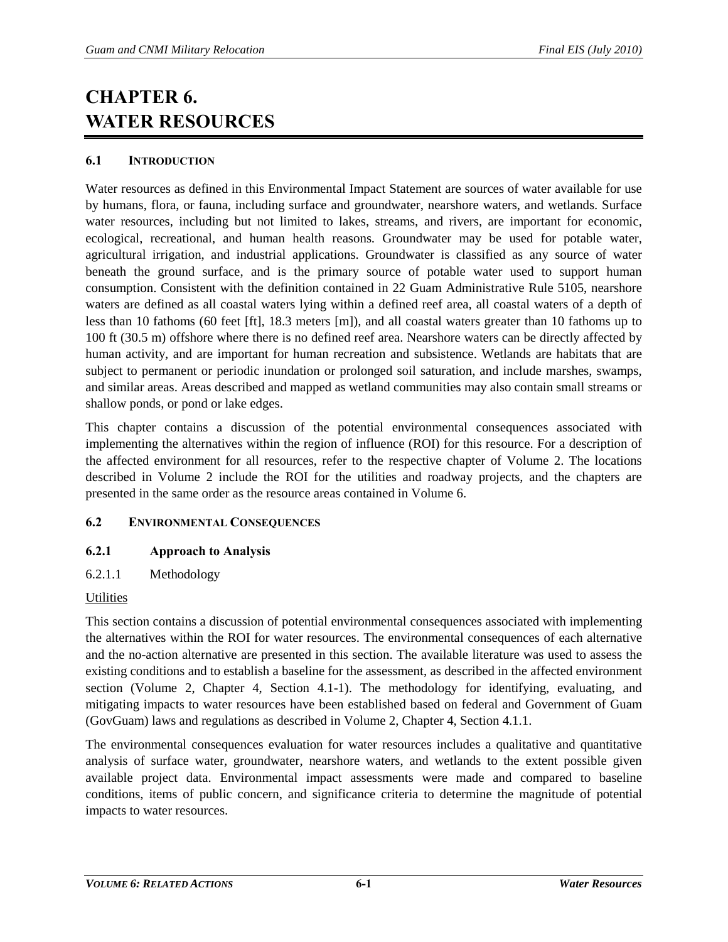# **CHAPTER 6. WATER RESOURCES**

# **6.1 INTRODUCTION**

Water resources as defined in this Environmental Impact Statement are sources of water available for use by humans, flora, or fauna, including surface and groundwater, nearshore waters, and wetlands. Surface water resources, including but not limited to lakes, streams, and rivers, are important for economic, ecological, recreational, and human health reasons. Groundwater may be used for potable water, agricultural irrigation, and industrial applications. Groundwater is classified as any source of water beneath the ground surface, and is the primary source of potable water used to support human consumption. Consistent with the definition contained in 22 Guam Administrative Rule 5105, nearshore waters are defined as all coastal waters lying within a defined reef area, all coastal waters of a depth of less than 10 fathoms (60 feet [ft], 18.3 meters [m]), and all coastal waters greater than 10 fathoms up to 100 ft (30.5 m) offshore where there is no defined reef area. Nearshore waters can be directly affected by human activity, and are important for human recreation and subsistence. Wetlands are habitats that are subject to permanent or periodic inundation or prolonged soil saturation, and include marshes, swamps, and similar areas. Areas described and mapped as wetland communities may also contain small streams or shallow ponds, or pond or lake edges.

This chapter contains a discussion of the potential environmental consequences associated with implementing the alternatives within the region of influence (ROI) for this resource. For a description of the affected environment for all resources, refer to the respective chapter of Volume 2. The locations described in Volume 2 include the ROI for the utilities and roadway projects, and the chapters are presented in the same order as the resource areas contained in Volume 6.

# **6.2 ENVIRONMENTAL CONSEQUENCES**

# **6.2.1 Approach to Analysis**

6.2.1.1 Methodology

# **Utilities**

This section contains a discussion of potential environmental consequences associated with implementing the alternatives within the ROI for water resources. The environmental consequences of each alternative and the no-action alternative are presented in this section. The available literature was used to assess the existing conditions and to establish a baseline for the assessment, as described in the affected environment section (Volume 2, Chapter 4, Section 4.1-1). The methodology for identifying, evaluating, and mitigating impacts to water resources have been established based on federal and Government of Guam (GovGuam) laws and regulations as described in Volume 2, Chapter 4, Section 4.1.1.

The environmental consequences evaluation for water resources includes a qualitative and quantitative analysis of surface water, groundwater, nearshore waters, and wetlands to the extent possible given available project data. Environmental impact assessments were made and compared to baseline conditions, items of public concern, and significance criteria to determine the magnitude of potential impacts to water resources.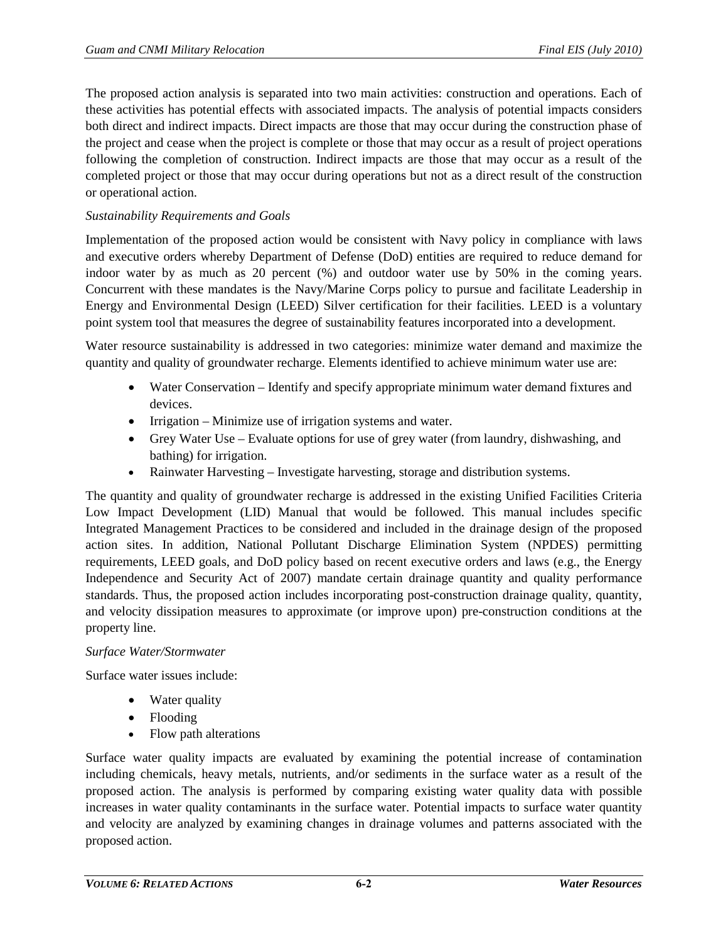The proposed action analysis is separated into two main activities: construction and operations. Each of these activities has potential effects with associated impacts. The analysis of potential impacts considers both direct and indirect impacts. Direct impacts are those that may occur during the construction phase of the project and cease when the project is complete or those that may occur as a result of project operations following the completion of construction. Indirect impacts are those that may occur as a result of the completed project or those that may occur during operations but not as a direct result of the construction or operational action.

# *Sustainability Requirements and Goals*

Implementation of the proposed action would be consistent with Navy policy in compliance with laws and executive orders whereby Department of Defense (DoD) entities are required to reduce demand for indoor water by as much as 20 percent (%) and outdoor water use by 50% in the coming years. Concurrent with these mandates is the Navy/Marine Corps policy to pursue and facilitate Leadership in Energy and Environmental Design (LEED) Silver certification for their facilities. LEED is a voluntary point system tool that measures the degree of sustainability features incorporated into a development.

Water resource sustainability is addressed in two categories: minimize water demand and maximize the quantity and quality of groundwater recharge. Elements identified to achieve minimum water use are:

- Water Conservation Identify and specify appropriate minimum water demand fixtures and devices.
- Irrigation Minimize use of irrigation systems and water.
- Grey Water Use Evaluate options for use of grey water (from laundry, dishwashing, and bathing) for irrigation.
- Rainwater Harvesting Investigate harvesting, storage and distribution systems.

The quantity and quality of groundwater recharge is addressed in the existing Unified Facilities Criteria Low Impact Development (LID) Manual that would be followed. This manual includes specific Integrated Management Practices to be considered and included in the drainage design of the proposed action sites. In addition, National Pollutant Discharge Elimination System (NPDES) permitting requirements, LEED goals, and DoD policy based on recent executive orders and laws (e.g., the Energy Independence and Security Act of 2007) mandate certain drainage quantity and quality performance standards. Thus, the proposed action includes incorporating post-construction drainage quality, quantity, and velocity dissipation measures to approximate (or improve upon) pre-construction conditions at the property line.

## *Surface Water/Stormwater*

Surface water issues include:

- Water quality
- Flooding
- Flow path alterations

Surface water quality impacts are evaluated by examining the potential increase of contamination including chemicals, heavy metals, nutrients, and/or sediments in the surface water as a result of the proposed action. The analysis is performed by comparing existing water quality data with possible increases in water quality contaminants in the surface water. Potential impacts to surface water quantity and velocity are analyzed by examining changes in drainage volumes and patterns associated with the proposed action.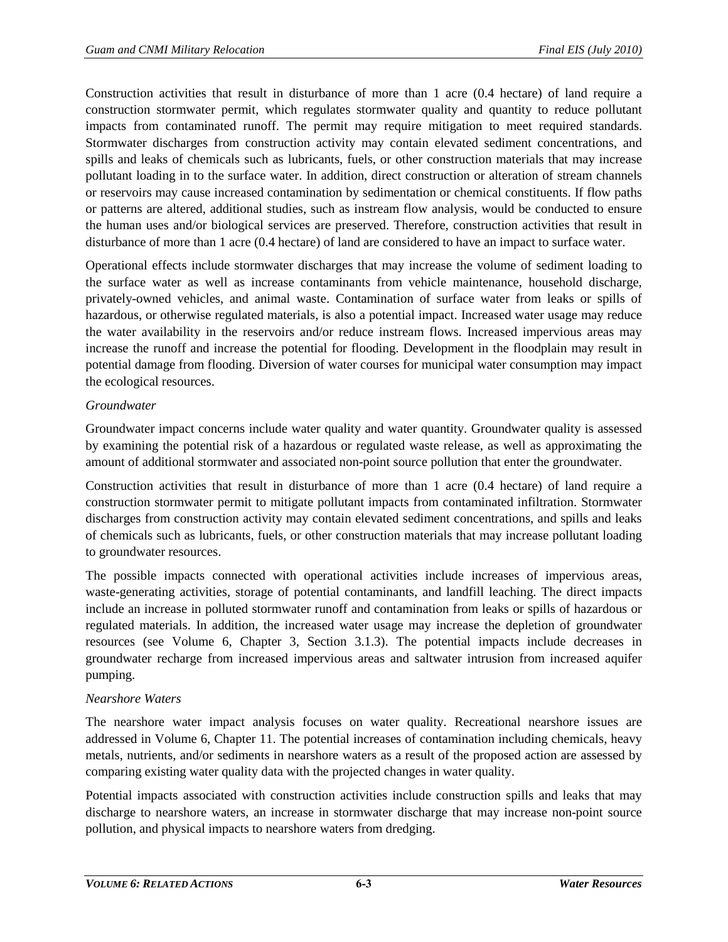Construction activities that result in disturbance of more than 1 acre (0.4 hectare) of land require a construction stormwater permit, which regulates stormwater quality and quantity to reduce pollutant impacts from contaminated runoff. The permit may require mitigation to meet required standards. Stormwater discharges from construction activity may contain elevated sediment concentrations, and spills and leaks of chemicals such as lubricants, fuels, or other construction materials that may increase pollutant loading in to the surface water. In addition, direct construction or alteration of stream channels or reservoirs may cause increased contamination by sedimentation or chemical constituents. If flow paths or patterns are altered, additional studies, such as instream flow analysis, would be conducted to ensure the human uses and/or biological services are preserved. Therefore, construction activities that result in disturbance of more than 1 acre (0.4 hectare) of land are considered to have an impact to surface water.

Operational effects include stormwater discharges that may increase the volume of sediment loading to the surface water as well as increase contaminants from vehicle maintenance, household discharge, privately-owned vehicles, and animal waste. Contamination of surface water from leaks or spills of hazardous, or otherwise regulated materials, is also a potential impact. Increased water usage may reduce the water availability in the reservoirs and/or reduce instream flows. Increased impervious areas may increase the runoff and increase the potential for flooding. Development in the floodplain may result in potential damage from flooding. Diversion of water courses for municipal water consumption may impact the ecological resources.

# *Groundwater*

Groundwater impact concerns include water quality and water quantity. Groundwater quality is assessed by examining the potential risk of a hazardous or regulated waste release, as well as approximating the amount of additional stormwater and associated non-point source pollution that enter the groundwater.

Construction activities that result in disturbance of more than 1 acre (0.4 hectare) of land require a construction stormwater permit to mitigate pollutant impacts from contaminated infiltration. Stormwater discharges from construction activity may contain elevated sediment concentrations, and spills and leaks of chemicals such as lubricants, fuels, or other construction materials that may increase pollutant loading to groundwater resources.

The possible impacts connected with operational activities include increases of impervious areas, waste-generating activities, storage of potential contaminants, and landfill leaching. The direct impacts include an increase in polluted stormwater runoff and contamination from leaks or spills of hazardous or regulated materials. In addition, the increased water usage may increase the depletion of groundwater resources (see Volume 6, Chapter 3, Section 3.1.3). The potential impacts include decreases in groundwater recharge from increased impervious areas and saltwater intrusion from increased aquifer pumping.

# *Nearshore Waters*

The nearshore water impact analysis focuses on water quality. Recreational nearshore issues are addressed in Volume 6, Chapter 11. The potential increases of contamination including chemicals, heavy metals, nutrients, and/or sediments in nearshore waters as a result of the proposed action are assessed by comparing existing water quality data with the projected changes in water quality.

Potential impacts associated with construction activities include construction spills and leaks that may discharge to nearshore waters, an increase in stormwater discharge that may increase non-point source pollution, and physical impacts to nearshore waters from dredging.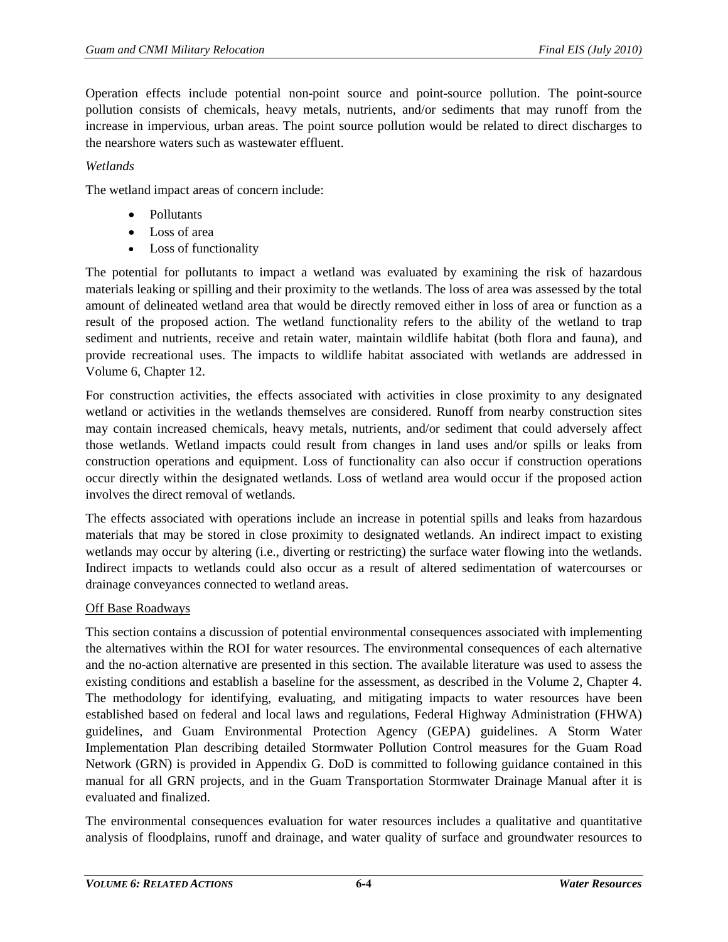Operation effects include potential non-point source and point-source pollution. The point-source pollution consists of chemicals, heavy metals, nutrients, and/or sediments that may runoff from the increase in impervious, urban areas. The point source pollution would be related to direct discharges to the nearshore waters such as wastewater effluent.

## *Wetlands*

The wetland impact areas of concern include:

- Pollutants
- Loss of area
- Loss of functionality

The potential for pollutants to impact a wetland was evaluated by examining the risk of hazardous materials leaking or spilling and their proximity to the wetlands. The loss of area was assessed by the total amount of delineated wetland area that would be directly removed either in loss of area or function as a result of the proposed action. The wetland functionality refers to the ability of the wetland to trap sediment and nutrients, receive and retain water, maintain wildlife habitat (both flora and fauna), and provide recreational uses. The impacts to wildlife habitat associated with wetlands are addressed in Volume 6, Chapter 12.

For construction activities, the effects associated with activities in close proximity to any designated wetland or activities in the wetlands themselves are considered. Runoff from nearby construction sites may contain increased chemicals, heavy metals, nutrients, and/or sediment that could adversely affect those wetlands. Wetland impacts could result from changes in land uses and/or spills or leaks from construction operations and equipment. Loss of functionality can also occur if construction operations occur directly within the designated wetlands. Loss of wetland area would occur if the proposed action involves the direct removal of wetlands.

The effects associated with operations include an increase in potential spills and leaks from hazardous materials that may be stored in close proximity to designated wetlands. An indirect impact to existing wetlands may occur by altering (i.e., diverting or restricting) the surface water flowing into the wetlands. Indirect impacts to wetlands could also occur as a result of altered sedimentation of watercourses or drainage conveyances connected to wetland areas.

## Off Base Roadways

This section contains a discussion of potential environmental consequences associated with implementing the alternatives within the ROI for water resources. The environmental consequences of each alternative and the no-action alternative are presented in this section. The available literature was used to assess the existing conditions and establish a baseline for the assessment, as described in the Volume 2, Chapter 4. The methodology for identifying, evaluating, and mitigating impacts to water resources have been established based on federal and local laws and regulations, Federal Highway Administration (FHWA) guidelines, and Guam Environmental Protection Agency (GEPA) guidelines. A Storm Water Implementation Plan describing detailed Stormwater Pollution Control measures for the Guam Road Network (GRN) is provided in Appendix G. DoD is committed to following guidance contained in this manual for all GRN projects, and in the Guam Transportation Stormwater Drainage Manual after it is evaluated and finalized.

The environmental consequences evaluation for water resources includes a qualitative and quantitative analysis of floodplains, runoff and drainage, and water quality of surface and groundwater resources to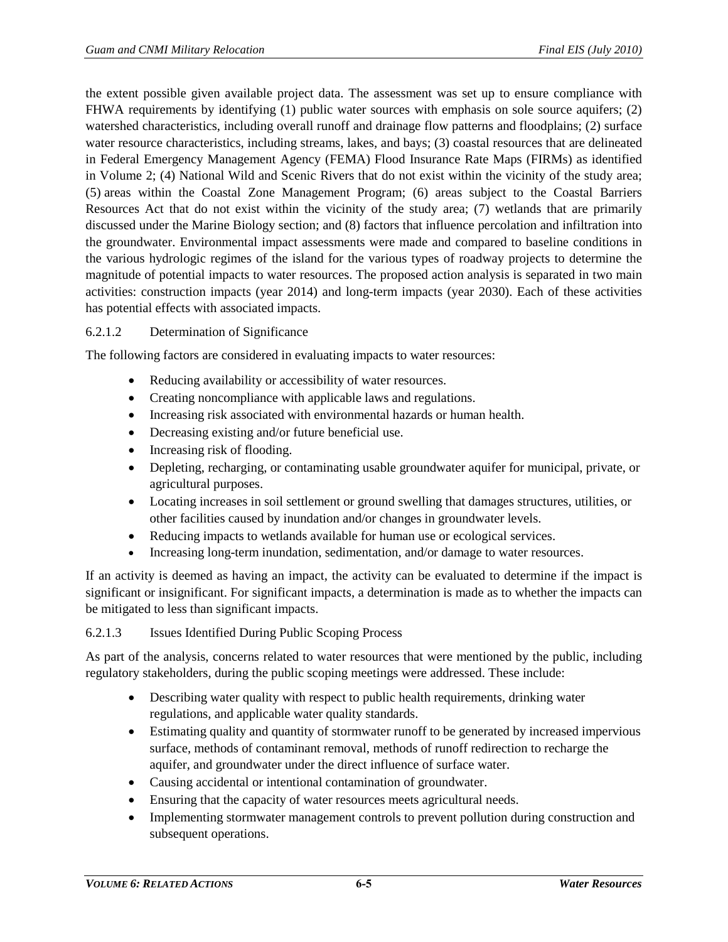the extent possible given available project data. The assessment was set up to ensure compliance with FHWA requirements by identifying (1) public water sources with emphasis on sole source aquifers; (2) watershed characteristics, including overall runoff and drainage flow patterns and floodplains; (2) surface water resource characteristics, including streams, lakes, and bays; (3) coastal resources that are delineated in Federal Emergency Management Agency (FEMA) Flood Insurance Rate Maps (FIRMs) as identified in Volume 2; (4) National Wild and Scenic Rivers that do not exist within the vicinity of the study area; (5) areas within the Coastal Zone Management Program; (6) areas subject to the Coastal Barriers Resources Act that do not exist within the vicinity of the study area; (7) wetlands that are primarily discussed under the Marine Biology section; and (8) factors that influence percolation and infiltration into the groundwater. Environmental impact assessments were made and compared to baseline conditions in the various hydrologic regimes of the island for the various types of roadway projects to determine the magnitude of potential impacts to water resources. The proposed action analysis is separated in two main activities: construction impacts (year 2014) and long-term impacts (year 2030). Each of these activities has potential effects with associated impacts.

## 6.2.1.2 Determination of Significance

The following factors are considered in evaluating impacts to water resources:

- Reducing availability or accessibility of water resources.
- Creating noncompliance with applicable laws and regulations.
- Increasing risk associated with environmental hazards or human health.
- Decreasing existing and/or future beneficial use.
- Increasing risk of flooding.
- Depleting, recharging, or contaminating usable groundwater aquifer for municipal, private, or agricultural purposes.
- Locating increases in soil settlement or ground swelling that damages structures, utilities, or other facilities caused by inundation and/or changes in groundwater levels.
- Reducing impacts to wetlands available for human use or ecological services.
- Increasing long-term inundation, sedimentation, and/or damage to water resources.

If an activity is deemed as having an impact, the activity can be evaluated to determine if the impact is significant or insignificant. For significant impacts, a determination is made as to whether the impacts can be mitigated to less than significant impacts.

## 6.2.1.3 Issues Identified During Public Scoping Process

As part of the analysis, concerns related to water resources that were mentioned by the public, including regulatory stakeholders, during the public scoping meetings were addressed. These include:

- Describing water quality with respect to public health requirements, drinking water regulations, and applicable water quality standards.
- Estimating quality and quantity of stormwater runoff to be generated by increased impervious surface, methods of contaminant removal, methods of runoff redirection to recharge the aquifer, and groundwater under the direct influence of surface water.
- Causing accidental or intentional contamination of groundwater.
- Ensuring that the capacity of water resources meets agricultural needs.
- Implementing stormwater management controls to prevent pollution during construction and subsequent operations.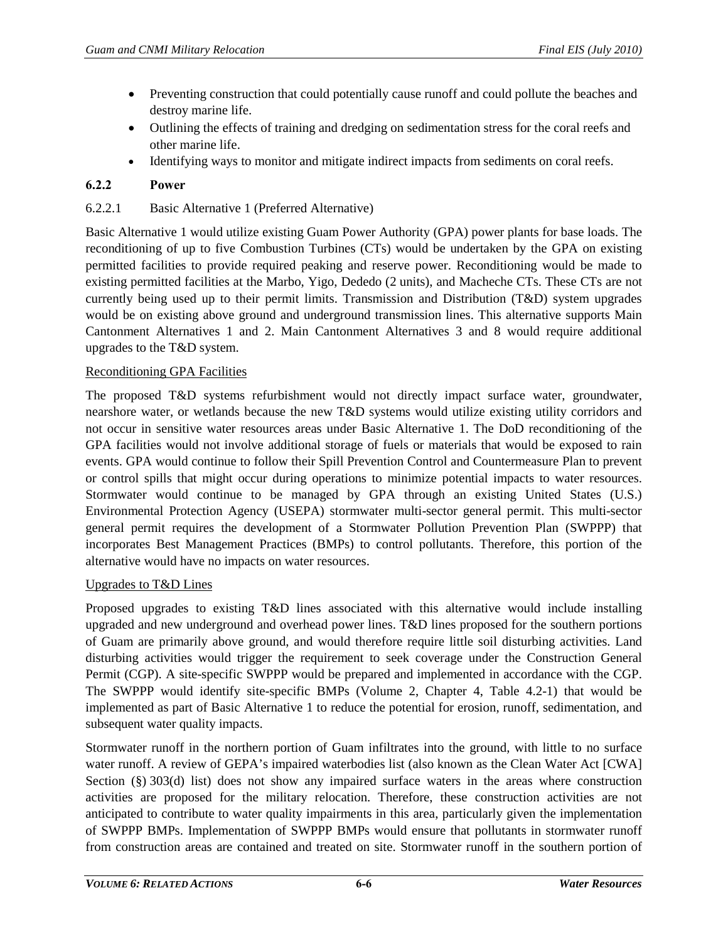- Preventing construction that could potentially cause runoff and could pollute the beaches and destroy marine life.
- Outlining the effects of training and dredging on sedimentation stress for the coral reefs and other marine life.
- Identifying ways to monitor and mitigate indirect impacts from sediments on coral reefs.

# **6.2.2 Power**

# 6.2.2.1 Basic Alternative 1 (Preferred Alternative)

Basic Alternative 1 would utilize existing Guam Power Authority (GPA) power plants for base loads. The reconditioning of up to five Combustion Turbines (CTs) would be undertaken by the GPA on existing permitted facilities to provide required peaking and reserve power. Reconditioning would be made to existing permitted facilities at the Marbo, Yigo, Dededo (2 units), and Macheche CTs. These CTs are not currently being used up to their permit limits. Transmission and Distribution (T&D) system upgrades would be on existing above ground and underground transmission lines. This alternative supports Main Cantonment Alternatives 1 and 2. Main Cantonment Alternatives 3 and 8 would require additional upgrades to the T&D system.

## Reconditioning GPA Facilities

The proposed T&D systems refurbishment would not directly impact surface water, groundwater, nearshore water, or wetlands because the new T&D systems would utilize existing utility corridors and not occur in sensitive water resources areas under Basic Alternative 1. The DoD reconditioning of the GPA facilities would not involve additional storage of fuels or materials that would be exposed to rain events. GPA would continue to follow their Spill Prevention Control and Countermeasure Plan to prevent or control spills that might occur during operations to minimize potential impacts to water resources. Stormwater would continue to be managed by GPA through an existing United States (U.S.) Environmental Protection Agency (USEPA) stormwater multi-sector general permit. This multi-sector general permit requires the development of a Stormwater Pollution Prevention Plan (SWPPP) that incorporates Best Management Practices (BMPs) to control pollutants. Therefore, this portion of the alternative would have no impacts on water resources.

## Upgrades to T&D Lines

Proposed upgrades to existing T&D lines associated with this alternative would include installing upgraded and new underground and overhead power lines. T&D lines proposed for the southern portions of Guam are primarily above ground, and would therefore require little soil disturbing activities. Land disturbing activities would trigger the requirement to seek coverage under the Construction General Permit (CGP). A site-specific SWPPP would be prepared and implemented in accordance with the CGP. The SWPPP would identify site-specific BMPs (Volume 2, Chapter 4, Table 4.2-1) that would be implemented as part of Basic Alternative 1 to reduce the potential for erosion, runoff, sedimentation, and subsequent water quality impacts.

Stormwater runoff in the northern portion of Guam infiltrates into the ground, with little to no surface water runoff. A review of GEPA's impaired waterbodies list (also known as the Clean Water Act [CWA] Section (§) 303(d) list) does not show any impaired surface waters in the areas where construction activities are proposed for the military relocation. Therefore, these construction activities are not anticipated to contribute to water quality impairments in this area, particularly given the implementation of SWPPP BMPs. Implementation of SWPPP BMPs would ensure that pollutants in stormwater runoff from construction areas are contained and treated on site. Stormwater runoff in the southern portion of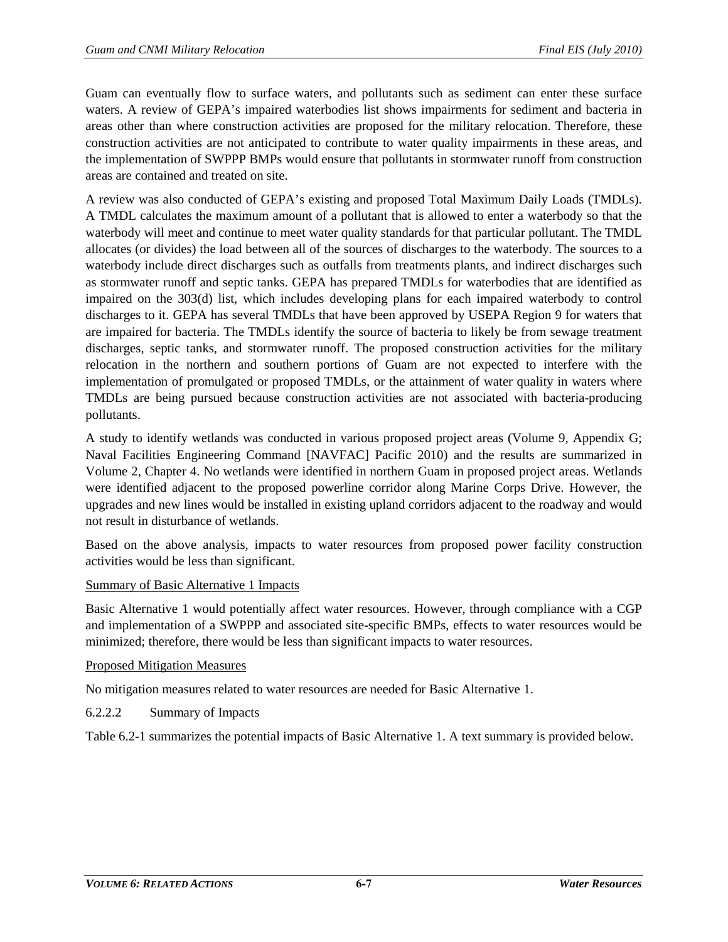Guam can eventually flow to surface waters, and pollutants such as sediment can enter these surface waters. A review of GEPA's impaired waterbodies list shows impairments for sediment and bacteria in areas other than where construction activities are proposed for the military relocation. Therefore, these construction activities are not anticipated to contribute to water quality impairments in these areas, and the implementation of SWPPP BMPs would ensure that pollutants in stormwater runoff from construction areas are contained and treated on site.

A review was also conducted of GEPA's existing and proposed Total Maximum Daily Loads (TMDLs). A TMDL calculates the maximum amount of a pollutant that is allowed to enter a waterbody so that the waterbody will meet and continue to meet water quality standards for that particular pollutant. The TMDL allocates (or divides) the load between all of the sources of discharges to the waterbody. The sources to a waterbody include direct discharges such as outfalls from treatments plants, and indirect discharges such as stormwater runoff and septic tanks. GEPA has prepared TMDLs for waterbodies that are identified as impaired on the 303(d) list, which includes developing plans for each impaired waterbody to control discharges to it. GEPA has several TMDLs that have been approved by USEPA Region 9 for waters that are impaired for bacteria. The TMDLs identify the source of bacteria to likely be from sewage treatment discharges, septic tanks, and stormwater runoff. The proposed construction activities for the military relocation in the northern and southern portions of Guam are not expected to interfere with the implementation of promulgated or proposed TMDLs, or the attainment of water quality in waters where TMDLs are being pursued because construction activities are not associated with bacteria-producing pollutants.

A study to identify wetlands was conducted in various proposed project areas (Volume 9, Appendix G; Naval Facilities Engineering Command [NAVFAC] Pacific 2010) and the results are summarized in Volume 2, Chapter 4. No wetlands were identified in northern Guam in proposed project areas. Wetlands were identified adjacent to the proposed powerline corridor along Marine Corps Drive. However, the upgrades and new lines would be installed in existing upland corridors adjacent to the roadway and would not result in disturbance of wetlands.

Based on the above analysis, impacts to water resources from proposed power facility construction activities would be less than significant.

## Summary of Basic Alternative 1 Impacts

Basic Alternative 1 would potentially affect water resources. However, through compliance with a CGP and implementation of a SWPPP and associated site-specific BMPs, effects to water resources would be minimized; therefore, there would be less than significant impacts to water resources.

## Proposed Mitigation Measures

No mitigation measures related to water resources are needed for Basic Alternative 1.

6.2.2.2 Summary of Impacts

[Table 6.2-1](#page-7-0) summarizes the potential impacts of Basic Alternative 1. A text summary is provided below.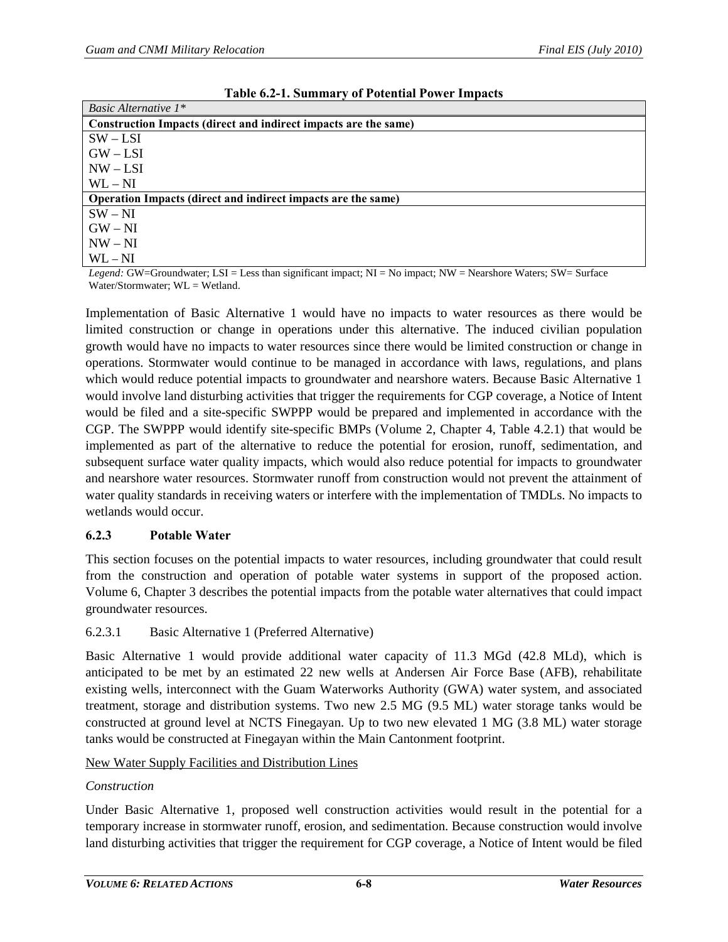<span id="page-7-0"></span>

| Basic Alternative $1^*$                                         |
|-----------------------------------------------------------------|
| Construction Impacts (direct and indirect impacts are the same) |
| $SW - LSI$                                                      |
| $GW - LSI$                                                      |
| $NW - LSI$                                                      |
| $WL - NI$                                                       |
| Operation Impacts (direct and indirect impacts are the same)    |
| $SW - NI$                                                       |
| $GW-NI$                                                         |
| $NW - NI$                                                       |
| $WL - NI$                                                       |

**Table 6.2-1. Summary of Potential Power Impacts**

*Legend:* GW=Groundwater; LSI = Less than significant impact; NI = No impact; NW = Nearshore Waters; SW= Surface Water/Stormwater; WL = Wetland.

Implementation of Basic Alternative 1 would have no impacts to water resources as there would be limited construction or change in operations under this alternative. The induced civilian population growth would have no impacts to water resources since there would be limited construction or change in operations. Stormwater would continue to be managed in accordance with laws, regulations, and plans which would reduce potential impacts to groundwater and nearshore waters. Because Basic Alternative 1 would involve land disturbing activities that trigger the requirements for CGP coverage, a Notice of Intent would be filed and a site-specific SWPPP would be prepared and implemented in accordance with the CGP. The SWPPP would identify site-specific BMPs (Volume 2, Chapter 4, Table 4.2.1) that would be implemented as part of the alternative to reduce the potential for erosion, runoff, sedimentation, and subsequent surface water quality impacts, which would also reduce potential for impacts to groundwater and nearshore water resources. Stormwater runoff from construction would not prevent the attainment of water quality standards in receiving waters or interfere with the implementation of TMDLs. No impacts to wetlands would occur.

#### **6.2.3 Potable Water**

This section focuses on the potential impacts to water resources, including groundwater that could result from the construction and operation of potable water systems in support of the proposed action. Volume 6, Chapter 3 describes the potential impacts from the potable water alternatives that could impact groundwater resources.

## <span id="page-7-1"></span>6.2.3.1 Basic Alternative 1 (Preferred Alternative)

Basic Alternative 1 would provide additional water capacity of 11.3 MGd (42.8 MLd), which is anticipated to be met by an estimated 22 new wells at Andersen Air Force Base (AFB), rehabilitate existing wells, interconnect with the Guam Waterworks Authority (GWA) water system, and associated treatment, storage and distribution systems. Two new 2.5 MG (9.5 ML) water storage tanks would be constructed at ground level at NCTS Finegayan. Up to two new elevated 1 MG (3.8 ML) water storage tanks would be constructed at Finegayan within the Main Cantonment footprint.

## New Water Supply Facilities and Distribution Lines

## *Construction*

Under Basic Alternative 1, proposed well construction activities would result in the potential for a temporary increase in stormwater runoff, erosion, and sedimentation. Because construction would involve land disturbing activities that trigger the requirement for CGP coverage, a Notice of Intent would be filed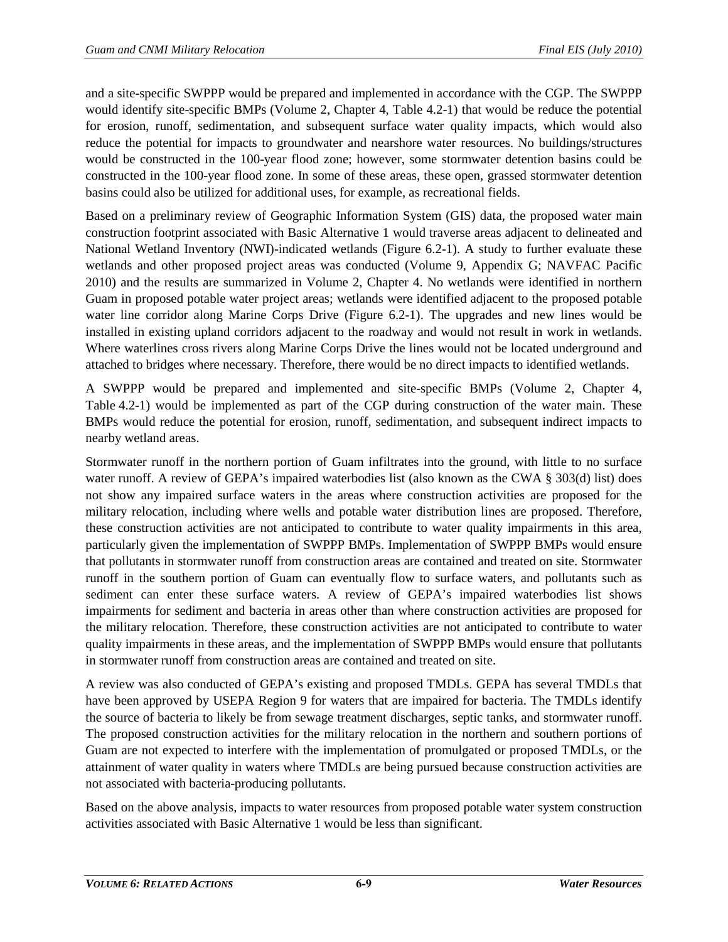and a site-specific SWPPP would be prepared and implemented in accordance with the CGP. The SWPPP would identify site-specific BMPs (Volume 2, Chapter 4, Table 4.2-1) that would be reduce the potential for erosion, runoff, sedimentation, and subsequent surface water quality impacts, which would also reduce the potential for impacts to groundwater and nearshore water resources. No buildings/structures would be constructed in the 100-year flood zone; however, some stormwater detention basins could be constructed in the 100-year flood zone. In some of these areas, these open, grassed stormwater detention basins could also be utilized for additional uses, for example, as recreational fields.

Based on a preliminary review of Geographic Information System (GIS) data, the proposed water main construction footprint associated with Basic Alternative 1 would traverse areas adjacent to delineated and National Wetland Inventory (NWI)-indicated wetlands [\(Figure 6.2-1\)](#page-9-0). A study to further evaluate these wetlands and other proposed project areas was conducted (Volume 9, Appendix G; NAVFAC Pacific 2010) and the results are summarized in Volume 2, Chapter 4. No wetlands were identified in northern Guam in proposed potable water project areas; wetlands were identified adjacent to the proposed potable water line corridor along Marine Corps Drive [\(Figure 6.2-1\)](#page-9-0). The upgrades and new lines would be installed in existing upland corridors adjacent to the roadway and would not result in work in wetlands. Where waterlines cross rivers along Marine Corps Drive the lines would not be located underground and attached to bridges where necessary. Therefore, there would be no direct impacts to identified wetlands.

A SWPPP would be prepared and implemented and site-specific BMPs (Volume 2, Chapter 4, Table 4.2-1) would be implemented as part of the CGP during construction of the water main. These BMPs would reduce the potential for erosion, runoff, sedimentation, and subsequent indirect impacts to nearby wetland areas.

Stormwater runoff in the northern portion of Guam infiltrates into the ground, with little to no surface water runoff. A review of GEPA's impaired waterbodies list (also known as the CWA § 303(d) list) does not show any impaired surface waters in the areas where construction activities are proposed for the military relocation, including where wells and potable water distribution lines are proposed. Therefore, these construction activities are not anticipated to contribute to water quality impairments in this area, particularly given the implementation of SWPPP BMPs. Implementation of SWPPP BMPs would ensure that pollutants in stormwater runoff from construction areas are contained and treated on site. Stormwater runoff in the southern portion of Guam can eventually flow to surface waters, and pollutants such as sediment can enter these surface waters. A review of GEPA's impaired waterbodies list shows impairments for sediment and bacteria in areas other than where construction activities are proposed for the military relocation. Therefore, these construction activities are not anticipated to contribute to water quality impairments in these areas, and the implementation of SWPPP BMPs would ensure that pollutants in stormwater runoff from construction areas are contained and treated on site.

A review was also conducted of GEPA's existing and proposed TMDLs. GEPA has several TMDLs that have been approved by USEPA Region 9 for waters that are impaired for bacteria. The TMDLs identify the source of bacteria to likely be from sewage treatment discharges, septic tanks, and stormwater runoff. The proposed construction activities for the military relocation in the northern and southern portions of Guam are not expected to interfere with the implementation of promulgated or proposed TMDLs, or the attainment of water quality in waters where TMDLs are being pursued because construction activities are not associated with bacteria-producing pollutants.

Based on the above analysis, impacts to water resources from proposed potable water system construction activities associated with Basic Alternative 1 would be less than significant.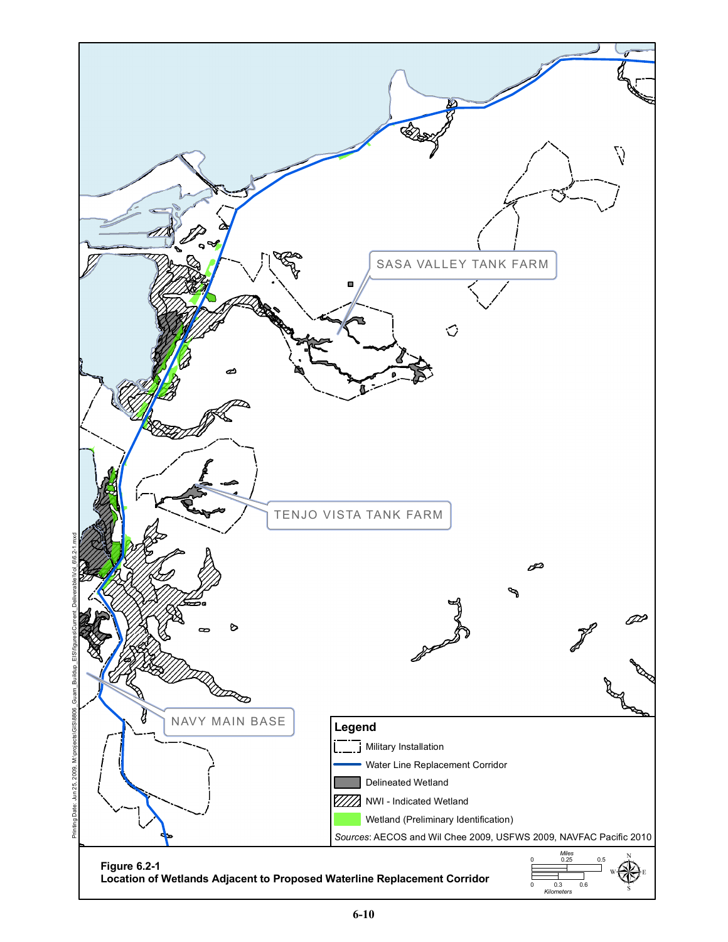<span id="page-9-0"></span>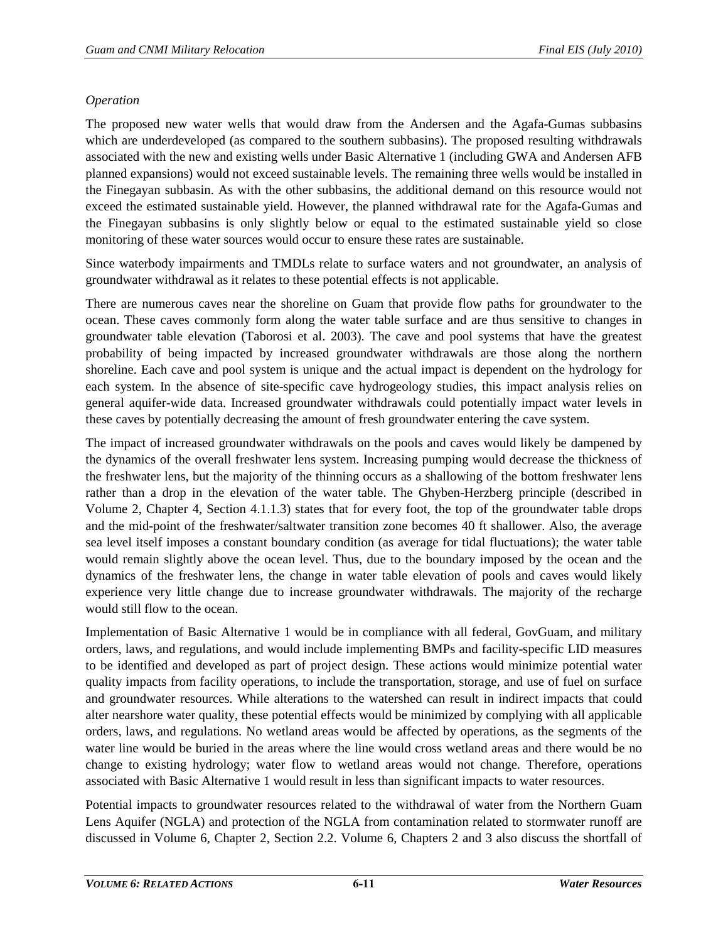# *Operation*

The proposed new water wells that would draw from the Andersen and the Agafa-Gumas subbasins which are underdeveloped (as compared to the southern subbasins). The proposed resulting withdrawals associated with the new and existing wells under Basic Alternative 1 (including GWA and Andersen AFB planned expansions) would not exceed sustainable levels. The remaining three wells would be installed in the Finegayan subbasin. As with the other subbasins, the additional demand on this resource would not exceed the estimated sustainable yield. However, the planned withdrawal rate for the Agafa-Gumas and the Finegayan subbasins is only slightly below or equal to the estimated sustainable yield so close monitoring of these water sources would occur to ensure these rates are sustainable.

Since waterbody impairments and TMDLs relate to surface waters and not groundwater, an analysis of groundwater withdrawal as it relates to these potential effects is not applicable.

There are numerous caves near the shoreline on Guam that provide flow paths for groundwater to the ocean. These caves commonly form along the water table surface and are thus sensitive to changes in groundwater table elevation (Taborosi et al. 2003). The cave and pool systems that have the greatest probability of being impacted by increased groundwater withdrawals are those along the northern shoreline. Each cave and pool system is unique and the actual impact is dependent on the hydrology for each system. In the absence of site-specific cave hydrogeology studies, this impact analysis relies on general aquifer-wide data. Increased groundwater withdrawals could potentially impact water levels in these caves by potentially decreasing the amount of fresh groundwater entering the cave system.

The impact of increased groundwater withdrawals on the pools and caves would likely be dampened by the dynamics of the overall freshwater lens system. Increasing pumping would decrease the thickness of the freshwater lens, but the majority of the thinning occurs as a shallowing of the bottom freshwater lens rather than a drop in the elevation of the water table. The Ghyben-Herzberg principle (described in Volume 2, Chapter 4, Section 4.1.1.3) states that for every foot, the top of the groundwater table drops and the mid-point of the freshwater/saltwater transition zone becomes 40 ft shallower. Also, the average sea level itself imposes a constant boundary condition (as average for tidal fluctuations); the water table would remain slightly above the ocean level. Thus, due to the boundary imposed by the ocean and the dynamics of the freshwater lens, the change in water table elevation of pools and caves would likely experience very little change due to increase groundwater withdrawals. The majority of the recharge would still flow to the ocean.

Implementation of Basic Alternative 1 would be in compliance with all federal, GovGuam, and military orders, laws, and regulations, and would include implementing BMPs and facility-specific LID measures to be identified and developed as part of project design. These actions would minimize potential water quality impacts from facility operations, to include the transportation, storage, and use of fuel on surface and groundwater resources. While alterations to the watershed can result in indirect impacts that could alter nearshore water quality, these potential effects would be minimized by complying with all applicable orders, laws, and regulations. No wetland areas would be affected by operations, as the segments of the water line would be buried in the areas where the line would cross wetland areas and there would be no change to existing hydrology; water flow to wetland areas would not change. Therefore, operations associated with Basic Alternative 1 would result in less than significant impacts to water resources.

Potential impacts to groundwater resources related to the withdrawal of water from the Northern Guam Lens Aquifer (NGLA) and protection of the NGLA from contamination related to stormwater runoff are discussed in Volume 6, Chapter 2, Section 2.2. Volume 6, Chapters 2 and 3 also discuss the shortfall of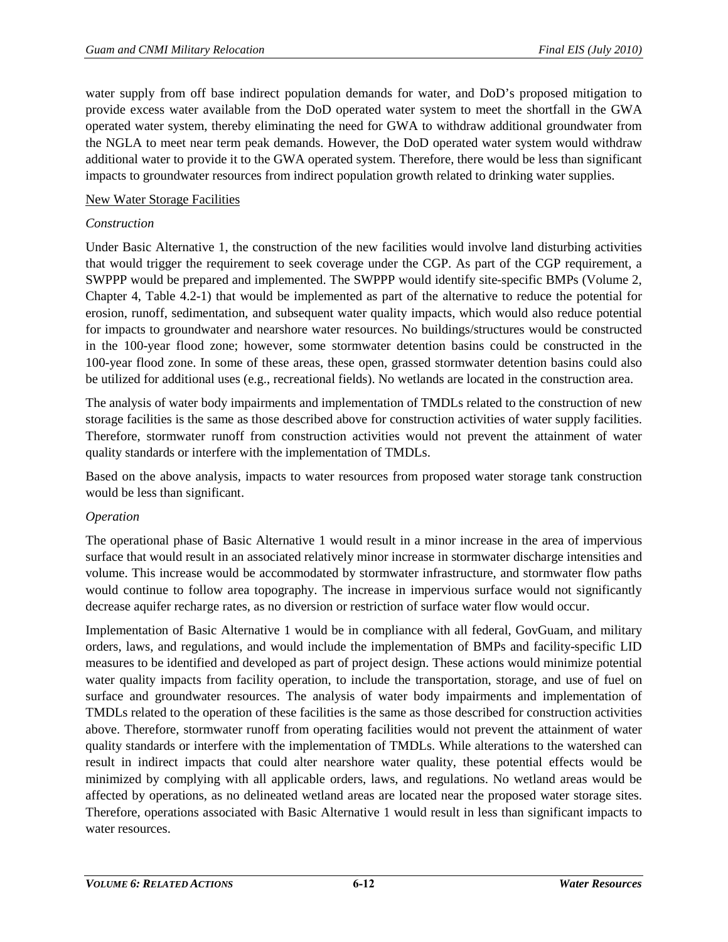water supply from off base indirect population demands for water, and DoD's proposed mitigation to provide excess water available from the DoD operated water system to meet the shortfall in the GWA operated water system, thereby eliminating the need for GWA to withdraw additional groundwater from the NGLA to meet near term peak demands. However, the DoD operated water system would withdraw additional water to provide it to the GWA operated system. Therefore, there would be less than significant impacts to groundwater resources from indirect population growth related to drinking water supplies.

## New Water Storage Facilities

## *Construction*

Under Basic Alternative 1, the construction of the new facilities would involve land disturbing activities that would trigger the requirement to seek coverage under the CGP. As part of the CGP requirement, a SWPPP would be prepared and implemented. The SWPPP would identify site-specific BMPs (Volume 2, Chapter 4, Table 4.2-1) that would be implemented as part of the alternative to reduce the potential for erosion, runoff, sedimentation, and subsequent water quality impacts, which would also reduce potential for impacts to groundwater and nearshore water resources. No buildings/structures would be constructed in the 100-year flood zone; however, some stormwater detention basins could be constructed in the 100-year flood zone. In some of these areas, these open, grassed stormwater detention basins could also be utilized for additional uses (e.g., recreational fields). No wetlands are located in the construction area.

The analysis of water body impairments and implementation of TMDLs related to the construction of new storage facilities is the same as those described above for construction activities of water supply facilities. Therefore, stormwater runoff from construction activities would not prevent the attainment of water quality standards or interfere with the implementation of TMDLs.

Based on the above analysis, impacts to water resources from proposed water storage tank construction would be less than significant.

## *Operation*

The operational phase of Basic Alternative 1 would result in a minor increase in the area of impervious surface that would result in an associated relatively minor increase in stormwater discharge intensities and volume. This increase would be accommodated by stormwater infrastructure, and stormwater flow paths would continue to follow area topography. The increase in impervious surface would not significantly decrease aquifer recharge rates, as no diversion or restriction of surface water flow would occur.

Implementation of Basic Alternative 1 would be in compliance with all federal, GovGuam, and military orders, laws, and regulations, and would include the implementation of BMPs and facility-specific LID measures to be identified and developed as part of project design. These actions would minimize potential water quality impacts from facility operation, to include the transportation, storage, and use of fuel on surface and groundwater resources. The analysis of water body impairments and implementation of TMDLs related to the operation of these facilities is the same as those described for construction activities above. Therefore, stormwater runoff from operating facilities would not prevent the attainment of water quality standards or interfere with the implementation of TMDLs. While alterations to the watershed can result in indirect impacts that could alter nearshore water quality, these potential effects would be minimized by complying with all applicable orders, laws, and regulations. No wetland areas would be affected by operations, as no delineated wetland areas are located near the proposed water storage sites. Therefore, operations associated with Basic Alternative 1 would result in less than significant impacts to water resources.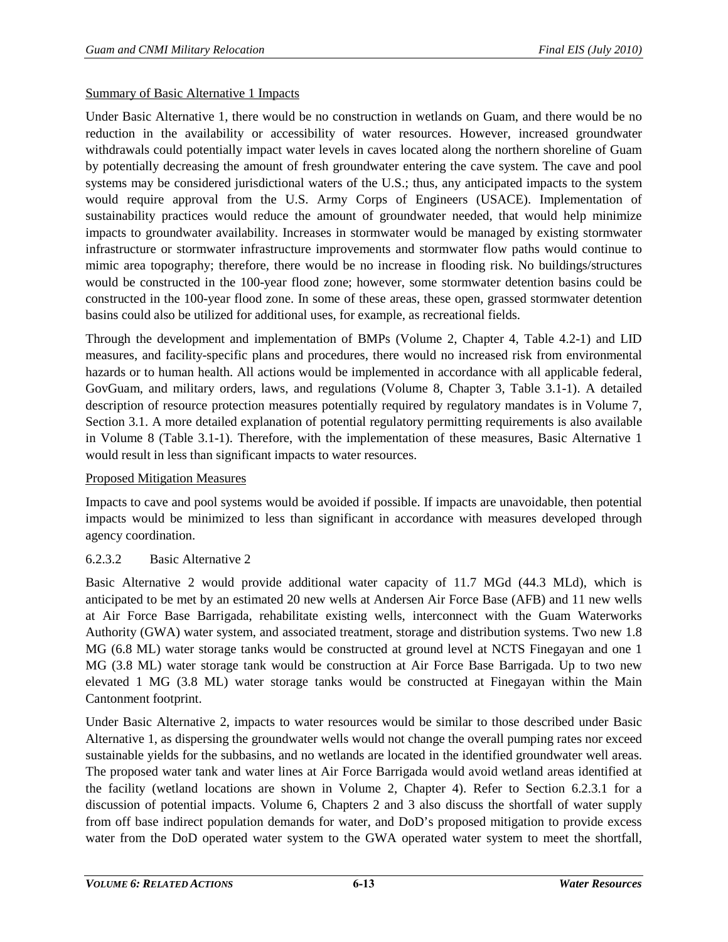#### Summary of Basic Alternative 1 Impacts

Under Basic Alternative 1, there would be no construction in wetlands on Guam, and there would be no reduction in the availability or accessibility of water resources. However, increased groundwater withdrawals could potentially impact water levels in caves located along the northern shoreline of Guam by potentially decreasing the amount of fresh groundwater entering the cave system. The cave and pool systems may be considered jurisdictional waters of the U.S.; thus, any anticipated impacts to the system would require approval from the U.S. Army Corps of Engineers (USACE). Implementation of sustainability practices would reduce the amount of groundwater needed, that would help minimize impacts to groundwater availability. Increases in stormwater would be managed by existing stormwater infrastructure or stormwater infrastructure improvements and stormwater flow paths would continue to mimic area topography; therefore, there would be no increase in flooding risk. No buildings/structures would be constructed in the 100-year flood zone; however, some stormwater detention basins could be constructed in the 100-year flood zone. In some of these areas, these open, grassed stormwater detention basins could also be utilized for additional uses, for example, as recreational fields.

Through the development and implementation of BMPs (Volume 2, Chapter 4, Table 4.2-1) and LID measures, and facility-specific plans and procedures, there would no increased risk from environmental hazards or to human health. All actions would be implemented in accordance with all applicable federal, GovGuam, and military orders, laws, and regulations (Volume 8, Chapter 3, Table 3.1-1). A detailed description of resource protection measures potentially required by regulatory mandates is in Volume 7, Section 3.1. A more detailed explanation of potential regulatory permitting requirements is also available in Volume 8 (Table 3.1-1). Therefore, with the implementation of these measures, Basic Alternative 1 would result in less than significant impacts to water resources.

#### Proposed Mitigation Measures

Impacts to cave and pool systems would be avoided if possible. If impacts are unavoidable, then potential impacts would be minimized to less than significant in accordance with measures developed through agency coordination.

## 6.2.3.2 Basic Alternative 2

Basic Alternative 2 would provide additional water capacity of 11.7 MGd (44.3 MLd), which is anticipated to be met by an estimated 20 new wells at Andersen Air Force Base (AFB) and 11 new wells at Air Force Base Barrigada, rehabilitate existing wells, interconnect with the Guam Waterworks Authority (GWA) water system, and associated treatment, storage and distribution systems. Two new 1.8 MG (6.8 ML) water storage tanks would be constructed at ground level at NCTS Finegayan and one 1 MG (3.8 ML) water storage tank would be construction at Air Force Base Barrigada. Up to two new elevated 1 MG (3.8 ML) water storage tanks would be constructed at Finegayan within the Main Cantonment footprint.

Under Basic Alternative 2, impacts to water resources would be similar to those described under Basic Alternative 1, as dispersing the groundwater wells would not change the overall pumping rates nor exceed sustainable yields for the subbasins, and no wetlands are located in the identified groundwater well areas. The proposed water tank and water lines at Air Force Barrigada would avoid wetland areas identified at the facility (wetland locations are shown in Volume 2, Chapter 4). Refer to Section [6.2.3.1](#page-7-1) for a discussion of potential impacts. Volume 6, Chapters 2 and 3 also discuss the shortfall of water supply from off base indirect population demands for water, and DoD's proposed mitigation to provide excess water from the DoD operated water system to the GWA operated water system to meet the shortfall,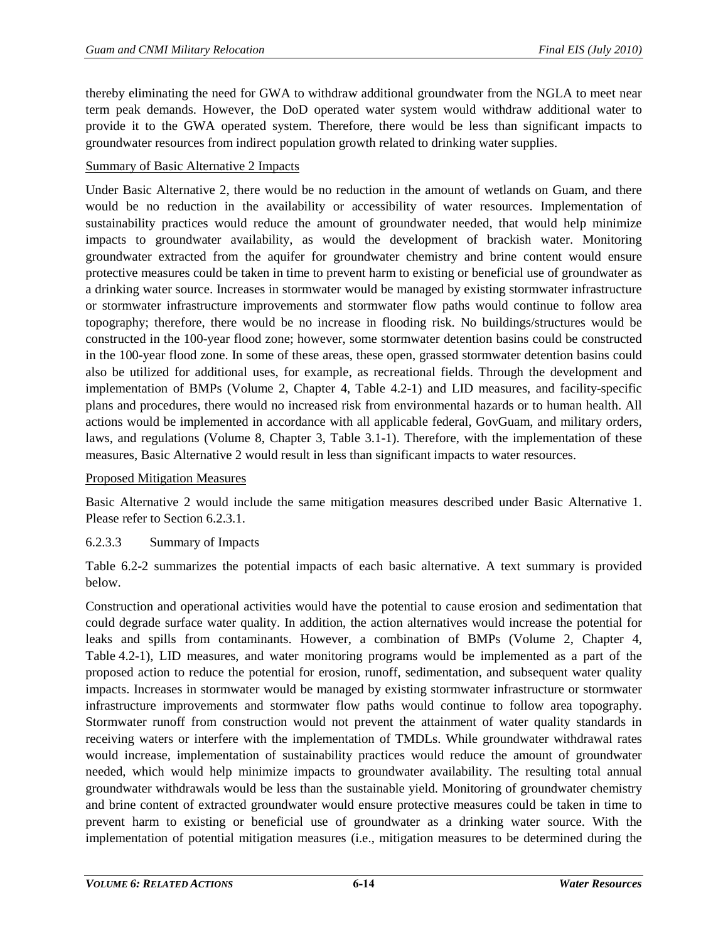thereby eliminating the need for GWA to withdraw additional groundwater from the NGLA to meet near term peak demands. However, the DoD operated water system would withdraw additional water to provide it to the GWA operated system. Therefore, there would be less than significant impacts to groundwater resources from indirect population growth related to drinking water supplies.

#### Summary of Basic Alternative 2 Impacts

Under Basic Alternative 2, there would be no reduction in the amount of wetlands on Guam, and there would be no reduction in the availability or accessibility of water resources. Implementation of sustainability practices would reduce the amount of groundwater needed, that would help minimize impacts to groundwater availability, as would the development of brackish water. Monitoring groundwater extracted from the aquifer for groundwater chemistry and brine content would ensure protective measures could be taken in time to prevent harm to existing or beneficial use of groundwater as a drinking water source. Increases in stormwater would be managed by existing stormwater infrastructure or stormwater infrastructure improvements and stormwater flow paths would continue to follow area topography; therefore, there would be no increase in flooding risk. No buildings/structures would be constructed in the 100-year flood zone; however, some stormwater detention basins could be constructed in the 100-year flood zone. In some of these areas, these open, grassed stormwater detention basins could also be utilized for additional uses, for example, as recreational fields. Through the development and implementation of BMPs (Volume 2, Chapter 4, Table 4.2-1) and LID measures, and facility-specific plans and procedures, there would no increased risk from environmental hazards or to human health. All actions would be implemented in accordance with all applicable federal, GovGuam, and military orders, laws, and regulations (Volume 8, Chapter 3, Table 3.1-1). Therefore, with the implementation of these measures, Basic Alternative 2 would result in less than significant impacts to water resources.

Proposed Mitigation Measures

Basic Alternative 2 would include the same mitigation measures described under Basic Alternative 1. Please refer to Section [6.2.3.1.](#page-7-1)

## 6.2.3.3 Summary of Impacts

[Table 6.2-2](#page-14-0) summarizes the potential impacts of each basic alternative. A text summary is provided below.

Construction and operational activities would have the potential to cause erosion and sedimentation that could degrade surface water quality. In addition, the action alternatives would increase the potential for leaks and spills from contaminants. However, a combination of BMPs (Volume 2, Chapter 4, Table 4.2-1), LID measures, and water monitoring programs would be implemented as a part of the proposed action to reduce the potential for erosion, runoff, sedimentation, and subsequent water quality impacts. Increases in stormwater would be managed by existing stormwater infrastructure or stormwater infrastructure improvements and stormwater flow paths would continue to follow area topography. Stormwater runoff from construction would not prevent the attainment of water quality standards in receiving waters or interfere with the implementation of TMDLs. While groundwater withdrawal rates would increase, implementation of sustainability practices would reduce the amount of groundwater needed, which would help minimize impacts to groundwater availability. The resulting total annual groundwater withdrawals would be less than the sustainable yield. Monitoring of groundwater chemistry and brine content of extracted groundwater would ensure protective measures could be taken in time to prevent harm to existing or beneficial use of groundwater as a drinking water source. With the implementation of potential mitigation measures (i.e., mitigation measures to be determined during the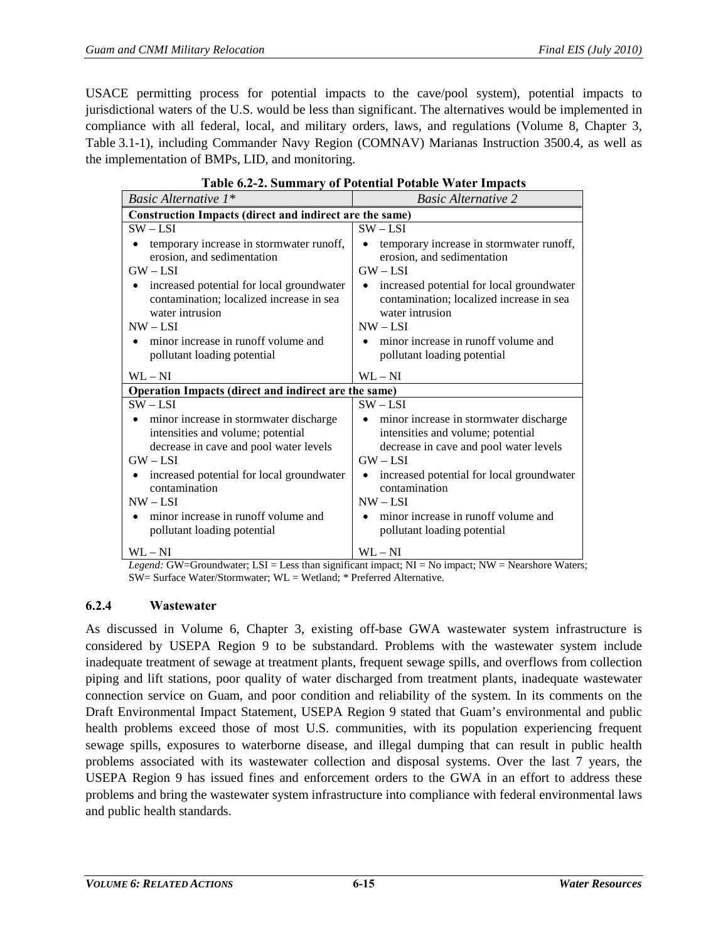USACE permitting process for potential impacts to the cave/pool system), potential impacts to jurisdictional waters of the U.S. would be less than significant. The alternatives would be implemented in compliance with all federal, local, and military orders, laws, and regulations (Volume 8, Chapter 3, Table 3.1-1), including Commander Navy Region (COMNAV) Marianas Instruction 3500.4, as well as the implementation of BMPs, LID, and monitoring.

<span id="page-14-0"></span>

| Basic Alternative 1*                                                                                                                                                                         | <b>Basic Alternative 2</b>                                                                                                                                                                                |  |  |  |  |
|----------------------------------------------------------------------------------------------------------------------------------------------------------------------------------------------|-----------------------------------------------------------------------------------------------------------------------------------------------------------------------------------------------------------|--|--|--|--|
| Construction Impacts (direct and indirect are the same)                                                                                                                                      |                                                                                                                                                                                                           |  |  |  |  |
| $SW - LSI$                                                                                                                                                                                   | $SW - LSI$                                                                                                                                                                                                |  |  |  |  |
| temporary increase in stormwater runoff,<br>erosion, and sedimentation<br>$GW - LSI$                                                                                                         | temporary increase in stormwater runoff,<br>erosion, and sedimentation<br>$GW - LSI$                                                                                                                      |  |  |  |  |
| increased potential for local groundwater<br>contamination; localized increase in sea<br>water intrusion<br>$NW - LSI$<br>minor increase in runoff volume and<br>pollutant loading potential | increased potential for local groundwater<br>$\bullet$<br>contamination; localized increase in sea<br>water intrusion<br>$NW - LSI$<br>minor increase in runoff volume and<br>pollutant loading potential |  |  |  |  |
| $WL - NI$                                                                                                                                                                                    | $WL - NI$                                                                                                                                                                                                 |  |  |  |  |
| Operation Impacts (direct and indirect are the same)                                                                                                                                         |                                                                                                                                                                                                           |  |  |  |  |
| $SW - LSI$                                                                                                                                                                                   | $SW - LSI$                                                                                                                                                                                                |  |  |  |  |
| minor increase in stormwater discharge<br>intensities and volume; potential<br>decrease in cave and pool water levels<br>$GW - LSI$                                                          | minor increase in stormwater discharge<br>intensities and volume; potential<br>decrease in cave and pool water levels<br>$GW - LSI$                                                                       |  |  |  |  |
| increased potential for local groundwater<br>contamination<br>$NW - LSI$                                                                                                                     | increased potential for local groundwater<br>$\bullet$<br>contamination<br>$NW-LSI$                                                                                                                       |  |  |  |  |
| minor increase in runoff volume and<br>pollutant loading potential                                                                                                                           | minor increase in runoff volume and<br>pollutant loading potential                                                                                                                                        |  |  |  |  |
| $WL - NI$                                                                                                                                                                                    | $WL - NI$                                                                                                                                                                                                 |  |  |  |  |

# **Table 6.2-2. Summary of Potential Potable Water Impacts**

*Legend:* GW=Groundwater; LSI = Less than significant impact; NI = No impact; NW = Nearshore Waters; SW= Surface Water/Stormwater; WL = Wetland; \* Preferred Alternative.

## **6.2.4 Wastewater**

As discussed in Volume 6, Chapter 3, existing off-base GWA wastewater system infrastructure is considered by USEPA Region 9 to be substandard. Problems with the wastewater system include inadequate treatment of sewage at treatment plants, frequent sewage spills, and overflows from collection piping and lift stations, poor quality of water discharged from treatment plants, inadequate wastewater connection service on Guam, and poor condition and reliability of the system. In its comments on the Draft Environmental Impact Statement, USEPA Region 9 stated that Guam's environmental and public health problems exceed those of most U.S. communities, with its population experiencing frequent sewage spills, exposures to waterborne disease, and illegal dumping that can result in public health problems associated with its wastewater collection and disposal systems. Over the last 7 years, the USEPA Region 9 has issued fines and enforcement orders to the GWA in an effort to address these problems and bring the wastewater system infrastructure into compliance with federal environmental laws and public health standards.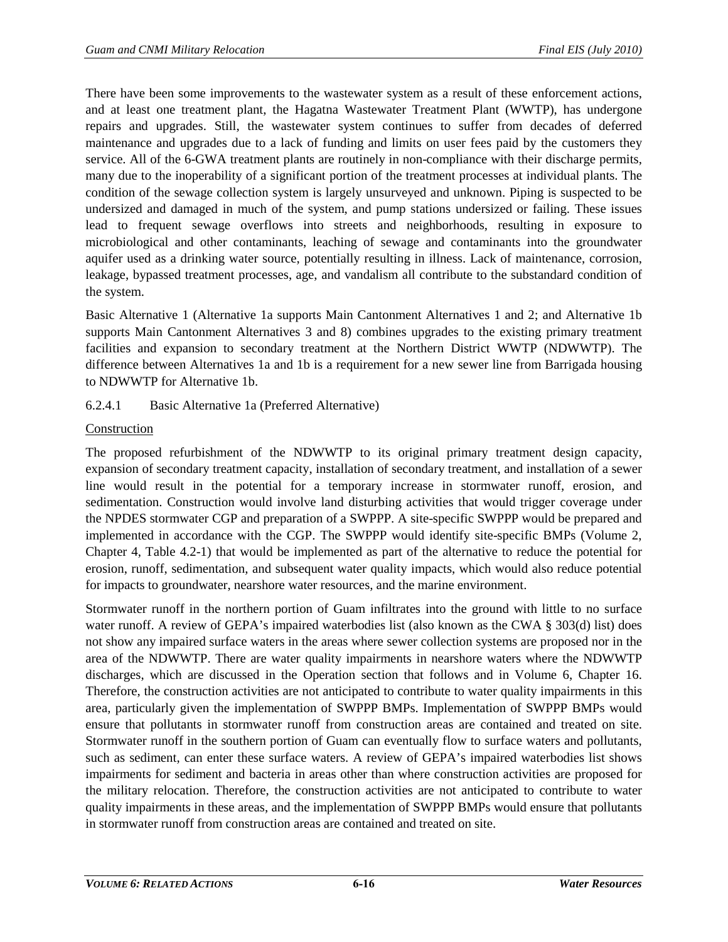There have been some improvements to the wastewater system as a result of these enforcement actions, and at least one treatment plant, the Hagatna Wastewater Treatment Plant (WWTP), has undergone repairs and upgrades. Still, the wastewater system continues to suffer from decades of deferred maintenance and upgrades due to a lack of funding and limits on user fees paid by the customers they service. All of the 6-GWA treatment plants are routinely in non-compliance with their discharge permits, many due to the inoperability of a significant portion of the treatment processes at individual plants. The condition of the sewage collection system is largely unsurveyed and unknown. Piping is suspected to be undersized and damaged in much of the system, and pump stations undersized or failing. These issues lead to frequent sewage overflows into streets and neighborhoods, resulting in exposure to microbiological and other contaminants, leaching of sewage and contaminants into the groundwater aquifer used as a drinking water source, potentially resulting in illness. Lack of maintenance, corrosion, leakage, bypassed treatment processes, age, and vandalism all contribute to the substandard condition of the system.

Basic Alternative 1 (Alternative 1a supports Main Cantonment Alternatives 1 and 2; and Alternative 1b supports Main Cantonment Alternatives 3 and 8) combines upgrades to the existing primary treatment facilities and expansion to secondary treatment at the Northern District WWTP (NDWWTP). The difference between Alternatives 1a and 1b is a requirement for a new sewer line from Barrigada housing to NDWWTP for Alternative 1b.

# <span id="page-15-0"></span>6.2.4.1 Basic Alternative 1a (Preferred Alternative)

# Construction

The proposed refurbishment of the NDWWTP to its original primary treatment design capacity, expansion of secondary treatment capacity, installation of secondary treatment, and installation of a sewer line would result in the potential for a temporary increase in stormwater runoff, erosion, and sedimentation. Construction would involve land disturbing activities that would trigger coverage under the NPDES stormwater CGP and preparation of a SWPPP. A site-specific SWPPP would be prepared and implemented in accordance with the CGP. The SWPPP would identify site-specific BMPs (Volume 2, Chapter 4, Table 4.2-1) that would be implemented as part of the alternative to reduce the potential for erosion, runoff, sedimentation, and subsequent water quality impacts, which would also reduce potential for impacts to groundwater, nearshore water resources, and the marine environment.

Stormwater runoff in the northern portion of Guam infiltrates into the ground with little to no surface water runoff. A review of GEPA's impaired waterbodies list (also known as the CWA § 303(d) list) does not show any impaired surface waters in the areas where sewer collection systems are proposed nor in the area of the NDWWTP. There are water quality impairments in nearshore waters where the NDWWTP discharges, which are discussed in the Operation section that follows and in Volume 6, Chapter 16. Therefore, the construction activities are not anticipated to contribute to water quality impairments in this area, particularly given the implementation of SWPPP BMPs. Implementation of SWPPP BMPs would ensure that pollutants in stormwater runoff from construction areas are contained and treated on site. Stormwater runoff in the southern portion of Guam can eventually flow to surface waters and pollutants, such as sediment, can enter these surface waters. A review of GEPA's impaired waterbodies list shows impairments for sediment and bacteria in areas other than where construction activities are proposed for the military relocation. Therefore, the construction activities are not anticipated to contribute to water quality impairments in these areas, and the implementation of SWPPP BMPs would ensure that pollutants in stormwater runoff from construction areas are contained and treated on site.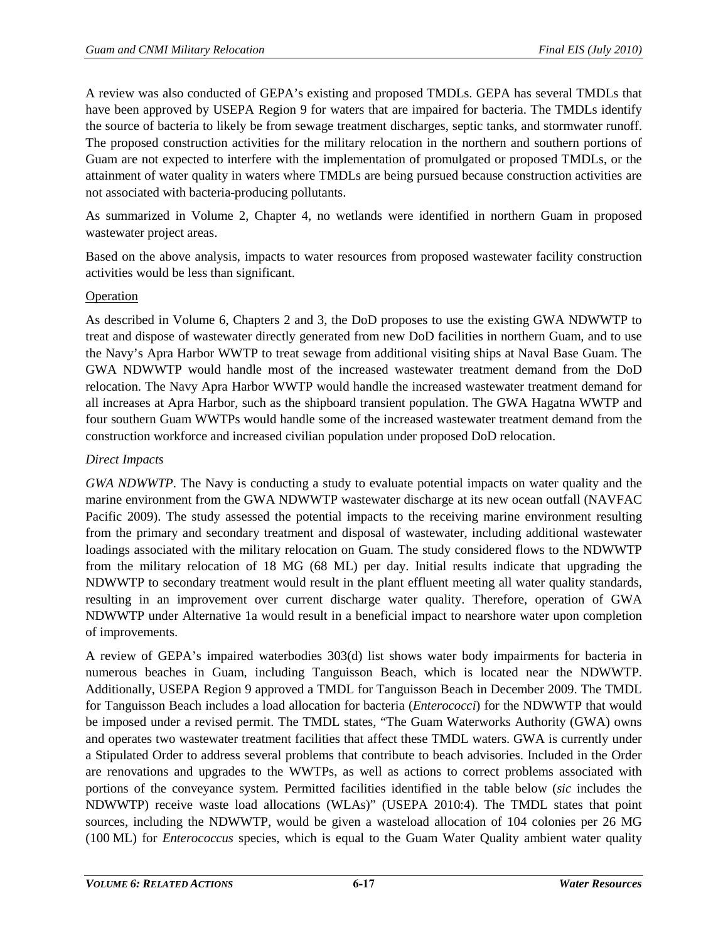A review was also conducted of GEPA's existing and proposed TMDLs. GEPA has several TMDLs that have been approved by USEPA Region 9 for waters that are impaired for bacteria. The TMDLs identify the source of bacteria to likely be from sewage treatment discharges, septic tanks, and stormwater runoff. The proposed construction activities for the military relocation in the northern and southern portions of Guam are not expected to interfere with the implementation of promulgated or proposed TMDLs, or the attainment of water quality in waters where TMDLs are being pursued because construction activities are not associated with bacteria-producing pollutants.

As summarized in Volume 2, Chapter 4, no wetlands were identified in northern Guam in proposed wastewater project areas.

Based on the above analysis, impacts to water resources from proposed wastewater facility construction activities would be less than significant.

## Operation

As described in Volume 6, Chapters 2 and 3, the DoD proposes to use the existing GWA NDWWTP to treat and dispose of wastewater directly generated from new DoD facilities in northern Guam, and to use the Navy's Apra Harbor WWTP to treat sewage from additional visiting ships at Naval Base Guam. The GWA NDWWTP would handle most of the increased wastewater treatment demand from the DoD relocation. The Navy Apra Harbor WWTP would handle the increased wastewater treatment demand for all increases at Apra Harbor, such as the shipboard transient population. The GWA Hagatna WWTP and four southern Guam WWTPs would handle some of the increased wastewater treatment demand from the construction workforce and increased civilian population under proposed DoD relocation.

## *Direct Impacts*

*GWA NDWWTP*. The Navy is conducting a study to evaluate potential impacts on water quality and the marine environment from the GWA NDWWTP wastewater discharge at its new ocean outfall (NAVFAC Pacific 2009). The study assessed the potential impacts to the receiving marine environment resulting from the primary and secondary treatment and disposal of wastewater, including additional wastewater loadings associated with the military relocation on Guam. The study considered flows to the NDWWTP from the military relocation of 18 MG (68 ML) per day. Initial results indicate that upgrading the NDWWTP to secondary treatment would result in the plant effluent meeting all water quality standards, resulting in an improvement over current discharge water quality. Therefore, operation of GWA NDWWTP under Alternative 1a would result in a beneficial impact to nearshore water upon completion of improvements.

A review of GEPA's impaired waterbodies 303(d) list shows water body impairments for bacteria in numerous beaches in Guam, including Tanguisson Beach, which is located near the NDWWTP. Additionally, USEPA Region 9 approved a TMDL for Tanguisson Beach in December 2009. The TMDL for Tanguisson Beach includes a load allocation for bacteria (*Enterococci*) for the NDWWTP that would be imposed under a revised permit. The TMDL states, "The Guam Waterworks Authority (GWA) owns and operates two wastewater treatment facilities that affect these TMDL waters. GWA is currently under a Stipulated Order to address several problems that contribute to beach advisories. Included in the Order are renovations and upgrades to the WWTPs, as well as actions to correct problems associated with portions of the conveyance system. Permitted facilities identified in the table below (*sic* includes the NDWWTP) receive waste load allocations (WLAs)" (USEPA 2010:4). The TMDL states that point sources, including the NDWWTP, would be given a wasteload allocation of 104 colonies per 26 MG (100 ML) for *Enterococcus* species, which is equal to the Guam Water Quality ambient water quality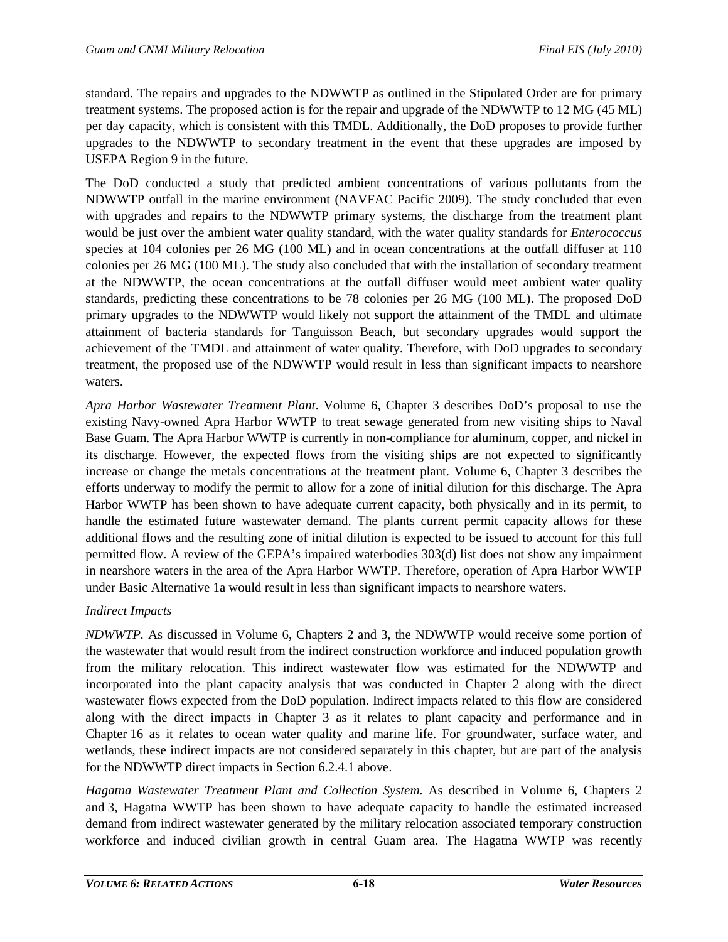standard. The repairs and upgrades to the NDWWTP as outlined in the Stipulated Order are for primary treatment systems. The proposed action is for the repair and upgrade of the NDWWTP to 12 MG (45 ML) per day capacity, which is consistent with this TMDL. Additionally, the DoD proposes to provide further upgrades to the NDWWTP to secondary treatment in the event that these upgrades are imposed by USEPA Region 9 in the future.

The DoD conducted a study that predicted ambient concentrations of various pollutants from the NDWWTP outfall in the marine environment (NAVFAC Pacific 2009). The study concluded that even with upgrades and repairs to the NDWWTP primary systems, the discharge from the treatment plant would be just over the ambient water quality standard, with the water quality standards for *Enterococcus*  species at 104 colonies per 26 MG (100 ML) and in ocean concentrations at the outfall diffuser at 110 colonies per 26 MG (100 ML). The study also concluded that with the installation of secondary treatment at the NDWWTP, the ocean concentrations at the outfall diffuser would meet ambient water quality standards, predicting these concentrations to be 78 colonies per 26 MG (100 ML). The proposed DoD primary upgrades to the NDWWTP would likely not support the attainment of the TMDL and ultimate attainment of bacteria standards for Tanguisson Beach, but secondary upgrades would support the achievement of the TMDL and attainment of water quality. Therefore, with DoD upgrades to secondary treatment, the proposed use of the NDWWTP would result in less than significant impacts to nearshore waters.

*Apra Harbor Wastewater Treatment Plant*. Volume 6, Chapter 3 describes DoD's proposal to use the existing Navy-owned Apra Harbor WWTP to treat sewage generated from new visiting ships to Naval Base Guam. The Apra Harbor WWTP is currently in non-compliance for aluminum, copper, and nickel in its discharge. However, the expected flows from the visiting ships are not expected to significantly increase or change the metals concentrations at the treatment plant. Volume 6, Chapter 3 describes the efforts underway to modify the permit to allow for a zone of initial dilution for this discharge. The Apra Harbor WWTP has been shown to have adequate current capacity, both physically and in its permit, to handle the estimated future wastewater demand. The plants current permit capacity allows for these additional flows and the resulting zone of initial dilution is expected to be issued to account for this full permitted flow. A review of the GEPA's impaired waterbodies 303(d) list does not show any impairment in nearshore waters in the area of the Apra Harbor WWTP. Therefore, operation of Apra Harbor WWTP under Basic Alternative 1a would result in less than significant impacts to nearshore waters.

# *Indirect Impacts*

*NDWWTP.* As discussed in Volume 6, Chapters 2 and 3, the NDWWTP would receive some portion of the wastewater that would result from the indirect construction workforce and induced population growth from the military relocation. This indirect wastewater flow was estimated for the NDWWTP and incorporated into the plant capacity analysis that was conducted in Chapter 2 along with the direct wastewater flows expected from the DoD population. Indirect impacts related to this flow are considered along with the direct impacts in Chapter 3 as it relates to plant capacity and performance and in Chapter 16 as it relates to ocean water quality and marine life. For groundwater, surface water, and wetlands, these indirect impacts are not considered separately in this chapter, but are part of the analysis for the NDWWTP direct impacts in Section [6.2.4.1](#page-15-0) above.

*Hagatna Wastewater Treatment Plant and Collection System*. As described in Volume 6, Chapters 2 and 3, Hagatna WWTP has been shown to have adequate capacity to handle the estimated increased demand from indirect wastewater generated by the military relocation associated temporary construction workforce and induced civilian growth in central Guam area. The Hagatna WWTP was recently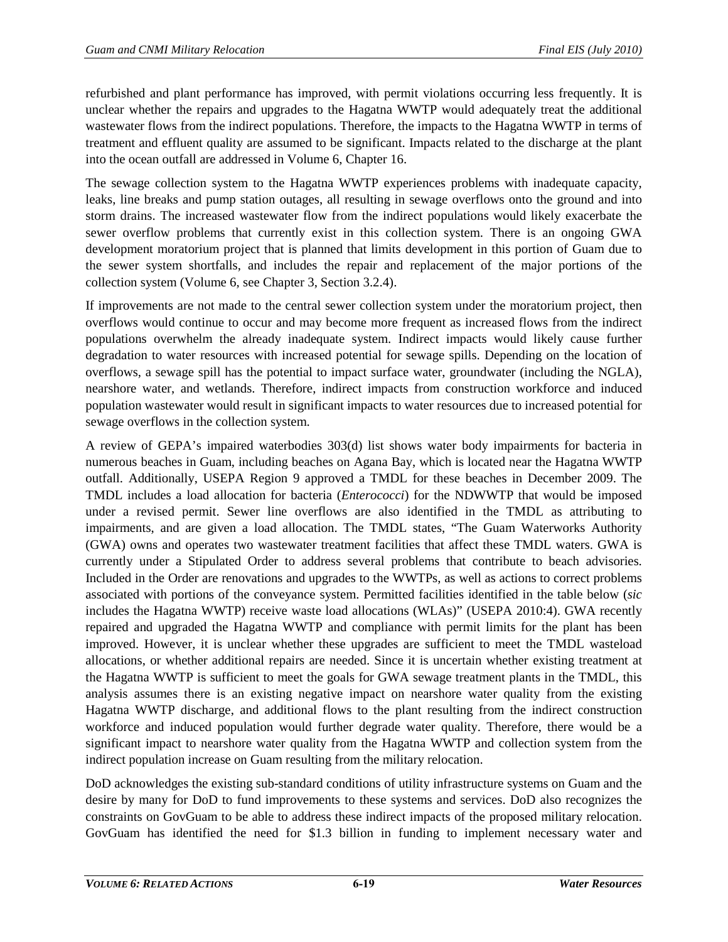refurbished and plant performance has improved, with permit violations occurring less frequently. It is unclear whether the repairs and upgrades to the Hagatna WWTP would adequately treat the additional wastewater flows from the indirect populations. Therefore, the impacts to the Hagatna WWTP in terms of treatment and effluent quality are assumed to be significant. Impacts related to the discharge at the plant into the ocean outfall are addressed in Volume 6, Chapter 16.

The sewage collection system to the Hagatna WWTP experiences problems with inadequate capacity, leaks, line breaks and pump station outages, all resulting in sewage overflows onto the ground and into storm drains. The increased wastewater flow from the indirect populations would likely exacerbate the sewer overflow problems that currently exist in this collection system. There is an ongoing GWA development moratorium project that is planned that limits development in this portion of Guam due to the sewer system shortfalls, and includes the repair and replacement of the major portions of the collection system (Volume 6, see Chapter 3, Section 3.2.4).

If improvements are not made to the central sewer collection system under the moratorium project, then overflows would continue to occur and may become more frequent as increased flows from the indirect populations overwhelm the already inadequate system. Indirect impacts would likely cause further degradation to water resources with increased potential for sewage spills. Depending on the location of overflows, a sewage spill has the potential to impact surface water, groundwater (including the NGLA), nearshore water, and wetlands. Therefore, indirect impacts from construction workforce and induced population wastewater would result in significant impacts to water resources due to increased potential for sewage overflows in the collection system.

A review of GEPA's impaired waterbodies 303(d) list shows water body impairments for bacteria in numerous beaches in Guam, including beaches on Agana Bay, which is located near the Hagatna WWTP outfall. Additionally, USEPA Region 9 approved a TMDL for these beaches in December 2009. The TMDL includes a load allocation for bacteria (*Enterococci*) for the NDWWTP that would be imposed under a revised permit. Sewer line overflows are also identified in the TMDL as attributing to impairments, and are given a load allocation. The TMDL states, "The Guam Waterworks Authority (GWA) owns and operates two wastewater treatment facilities that affect these TMDL waters. GWA is currently under a Stipulated Order to address several problems that contribute to beach advisories. Included in the Order are renovations and upgrades to the WWTPs, as well as actions to correct problems associated with portions of the conveyance system. Permitted facilities identified in the table below (*sic*  includes the Hagatna WWTP) receive waste load allocations (WLAs)" (USEPA 2010:4). GWA recently repaired and upgraded the Hagatna WWTP and compliance with permit limits for the plant has been improved. However, it is unclear whether these upgrades are sufficient to meet the TMDL wasteload allocations, or whether additional repairs are needed. Since it is uncertain whether existing treatment at the Hagatna WWTP is sufficient to meet the goals for GWA sewage treatment plants in the TMDL, this analysis assumes there is an existing negative impact on nearshore water quality from the existing Hagatna WWTP discharge, and additional flows to the plant resulting from the indirect construction workforce and induced population would further degrade water quality. Therefore, there would be a significant impact to nearshore water quality from the Hagatna WWTP and collection system from the indirect population increase on Guam resulting from the military relocation.

DoD acknowledges the existing sub-standard conditions of utility infrastructure systems on Guam and the desire by many for DoD to fund improvements to these systems and services. DoD also recognizes the constraints on GovGuam to be able to address these indirect impacts of the proposed military relocation. GovGuam has identified the need for \$1.3 billion in funding to implement necessary water and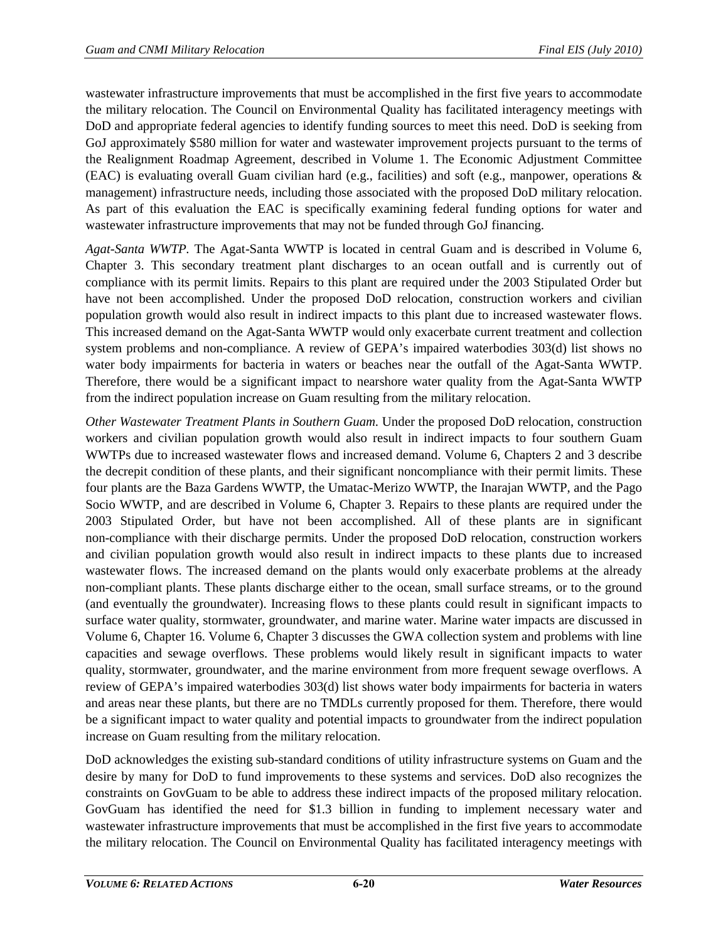wastewater infrastructure improvements that must be accomplished in the first five years to accommodate the military relocation. The Council on Environmental Quality has facilitated interagency meetings with DoD and appropriate federal agencies to identify funding sources to meet this need. DoD is seeking from GoJ approximately \$580 million for water and wastewater improvement projects pursuant to the terms of the Realignment Roadmap Agreement, described in Volume 1. The Economic Adjustment Committee (EAC) is evaluating overall Guam civilian hard (e.g., facilities) and soft (e.g., manpower, operations & management) infrastructure needs, including those associated with the proposed DoD military relocation. As part of this evaluation the EAC is specifically examining federal funding options for water and wastewater infrastructure improvements that may not be funded through GoJ financing.

*Agat-Santa WWTP.* The Agat-Santa WWTP is located in central Guam and is described in Volume 6, Chapter 3. This secondary treatment plant discharges to an ocean outfall and is currently out of compliance with its permit limits. Repairs to this plant are required under the 2003 Stipulated Order but have not been accomplished. Under the proposed DoD relocation, construction workers and civilian population growth would also result in indirect impacts to this plant due to increased wastewater flows. This increased demand on the Agat-Santa WWTP would only exacerbate current treatment and collection system problems and non-compliance. A review of GEPA's impaired waterbodies 303(d) list shows no water body impairments for bacteria in waters or beaches near the outfall of the Agat-Santa WWTP. Therefore, there would be a significant impact to nearshore water quality from the Agat-Santa WWTP from the indirect population increase on Guam resulting from the military relocation.

*Other Wastewater Treatment Plants in Southern Guam*. Under the proposed DoD relocation, construction workers and civilian population growth would also result in indirect impacts to four southern Guam WWTPs due to increased wastewater flows and increased demand. Volume 6, Chapters 2 and 3 describe the decrepit condition of these plants, and their significant noncompliance with their permit limits. These four plants are the Baza Gardens WWTP, the Umatac-Merizo WWTP, the Inarajan WWTP, and the Pago Socio WWTP, and are described in Volume 6, Chapter 3. Repairs to these plants are required under the 2003 Stipulated Order, but have not been accomplished. All of these plants are in significant non-compliance with their discharge permits. Under the proposed DoD relocation, construction workers and civilian population growth would also result in indirect impacts to these plants due to increased wastewater flows. The increased demand on the plants would only exacerbate problems at the already non-compliant plants. These plants discharge either to the ocean, small surface streams, or to the ground (and eventually the groundwater). Increasing flows to these plants could result in significant impacts to surface water quality, stormwater, groundwater, and marine water. Marine water impacts are discussed in Volume 6, Chapter 16. Volume 6, Chapter 3 discusses the GWA collection system and problems with line capacities and sewage overflows. These problems would likely result in significant impacts to water quality, stormwater, groundwater, and the marine environment from more frequent sewage overflows. A review of GEPA's impaired waterbodies 303(d) list shows water body impairments for bacteria in waters and areas near these plants, but there are no TMDLs currently proposed for them. Therefore, there would be a significant impact to water quality and potential impacts to groundwater from the indirect population increase on Guam resulting from the military relocation.

DoD acknowledges the existing sub-standard conditions of utility infrastructure systems on Guam and the desire by many for DoD to fund improvements to these systems and services. DoD also recognizes the constraints on GovGuam to be able to address these indirect impacts of the proposed military relocation. GovGuam has identified the need for \$1.3 billion in funding to implement necessary water and wastewater infrastructure improvements that must be accomplished in the first five years to accommodate the military relocation. The Council on Environmental Quality has facilitated interagency meetings with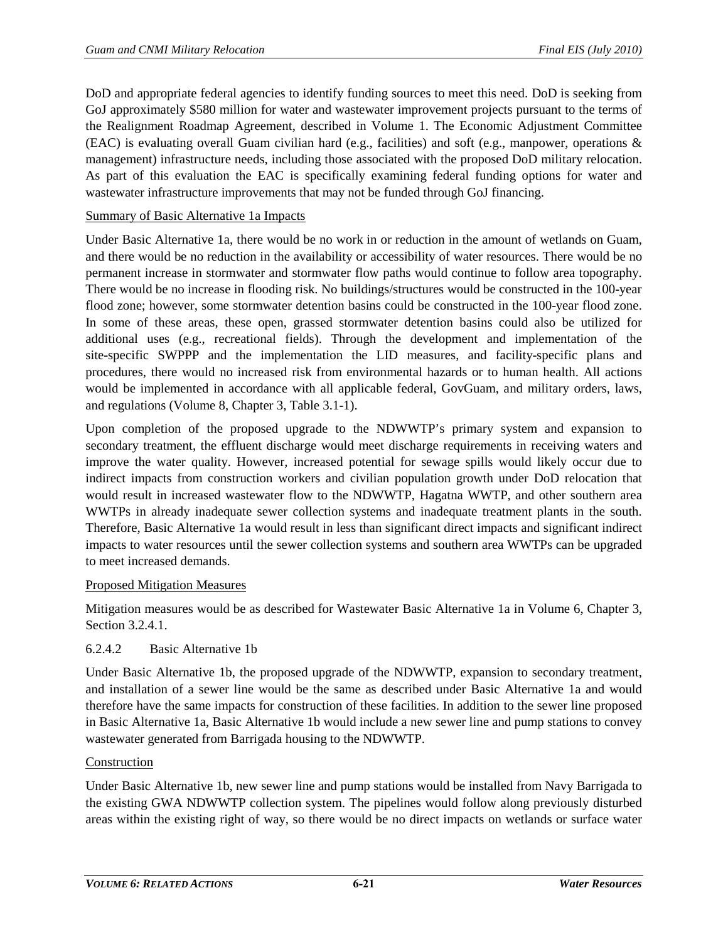DoD and appropriate federal agencies to identify funding sources to meet this need. DoD is seeking from GoJ approximately \$580 million for water and wastewater improvement projects pursuant to the terms of the Realignment Roadmap Agreement, described in Volume 1. The Economic Adjustment Committee (EAC) is evaluating overall Guam civilian hard (e.g., facilities) and soft (e.g., manpower, operations & management) infrastructure needs, including those associated with the proposed DoD military relocation. As part of this evaluation the EAC is specifically examining federal funding options for water and wastewater infrastructure improvements that may not be funded through GoJ financing.

## Summary of Basic Alternative 1a Impacts

Under Basic Alternative 1a, there would be no work in or reduction in the amount of wetlands on Guam, and there would be no reduction in the availability or accessibility of water resources. There would be no permanent increase in stormwater and stormwater flow paths would continue to follow area topography. There would be no increase in flooding risk. No buildings/structures would be constructed in the 100-year flood zone; however, some stormwater detention basins could be constructed in the 100-year flood zone. In some of these areas, these open, grassed stormwater detention basins could also be utilized for additional uses (e.g., recreational fields). Through the development and implementation of the site-specific SWPPP and the implementation the LID measures, and facility-specific plans and procedures, there would no increased risk from environmental hazards or to human health. All actions would be implemented in accordance with all applicable federal, GovGuam, and military orders, laws, and regulations (Volume 8, Chapter 3, Table 3.1-1).

Upon completion of the proposed upgrade to the NDWWTP's primary system and expansion to secondary treatment, the effluent discharge would meet discharge requirements in receiving waters and improve the water quality. However, increased potential for sewage spills would likely occur due to indirect impacts from construction workers and civilian population growth under DoD relocation that would result in increased wastewater flow to the NDWWTP, Hagatna WWTP, and other southern area WWTPs in already inadequate sewer collection systems and inadequate treatment plants in the south. Therefore, Basic Alternative 1a would result in less than significant direct impacts and significant indirect impacts to water resources until the sewer collection systems and southern area WWTPs can be upgraded to meet increased demands.

## Proposed Mitigation Measures

Mitigation measures would be as described for Wastewater Basic Alternative 1a in Volume 6, Chapter 3, Section 3.2.4.1.

## 6.2.4.2 Basic Alternative 1b

Under Basic Alternative 1b, the proposed upgrade of the NDWWTP, expansion to secondary treatment, and installation of a sewer line would be the same as described under Basic Alternative 1a and would therefore have the same impacts for construction of these facilities. In addition to the sewer line proposed in Basic Alternative 1a, Basic Alternative 1b would include a new sewer line and pump stations to convey wastewater generated from Barrigada housing to the NDWWTP.

## Construction

Under Basic Alternative 1b, new sewer line and pump stations would be installed from Navy Barrigada to the existing GWA NDWWTP collection system. The pipelines would follow along previously disturbed areas within the existing right of way, so there would be no direct impacts on wetlands or surface water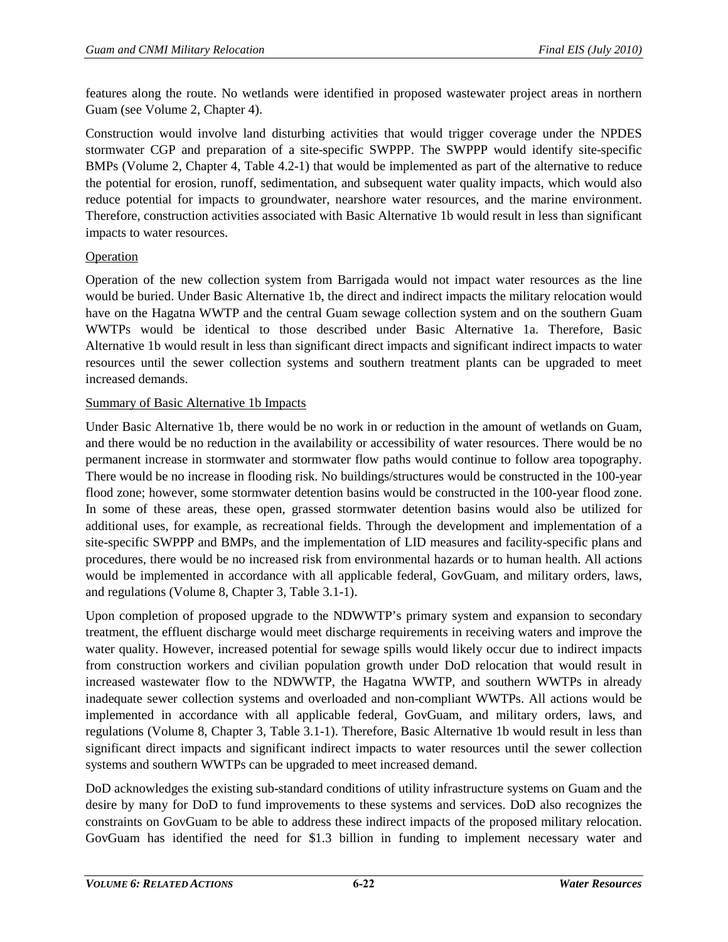features along the route. No wetlands were identified in proposed wastewater project areas in northern Guam (see Volume 2, Chapter 4).

Construction would involve land disturbing activities that would trigger coverage under the NPDES stormwater CGP and preparation of a site-specific SWPPP. The SWPPP would identify site-specific BMPs (Volume 2, Chapter 4, Table 4.2-1) that would be implemented as part of the alternative to reduce the potential for erosion, runoff, sedimentation, and subsequent water quality impacts, which would also reduce potential for impacts to groundwater, nearshore water resources, and the marine environment. Therefore, construction activities associated with Basic Alternative 1b would result in less than significant impacts to water resources.

## Operation

Operation of the new collection system from Barrigada would not impact water resources as the line would be buried. Under Basic Alternative 1b, the direct and indirect impacts the military relocation would have on the Hagatna WWTP and the central Guam sewage collection system and on the southern Guam WWTPs would be identical to those described under Basic Alternative 1a. Therefore, Basic Alternative 1b would result in less than significant direct impacts and significant indirect impacts to water resources until the sewer collection systems and southern treatment plants can be upgraded to meet increased demands.

## Summary of Basic Alternative 1b Impacts

Under Basic Alternative 1b, there would be no work in or reduction in the amount of wetlands on Guam, and there would be no reduction in the availability or accessibility of water resources. There would be no permanent increase in stormwater and stormwater flow paths would continue to follow area topography. There would be no increase in flooding risk. No buildings/structures would be constructed in the 100-year flood zone; however, some stormwater detention basins would be constructed in the 100-year flood zone. In some of these areas, these open, grassed stormwater detention basins would also be utilized for additional uses, for example, as recreational fields. Through the development and implementation of a site-specific SWPPP and BMPs, and the implementation of LID measures and facility-specific plans and procedures, there would be no increased risk from environmental hazards or to human health. All actions would be implemented in accordance with all applicable federal, GovGuam, and military orders, laws, and regulations (Volume 8, Chapter 3, Table 3.1-1).

Upon completion of proposed upgrade to the NDWWTP's primary system and expansion to secondary treatment, the effluent discharge would meet discharge requirements in receiving waters and improve the water quality. However, increased potential for sewage spills would likely occur due to indirect impacts from construction workers and civilian population growth under DoD relocation that would result in increased wastewater flow to the NDWWTP, the Hagatna WWTP, and southern WWTPs in already inadequate sewer collection systems and overloaded and non-compliant WWTPs. All actions would be implemented in accordance with all applicable federal, GovGuam, and military orders, laws, and regulations (Volume 8, Chapter 3, Table 3.1-1). Therefore, Basic Alternative 1b would result in less than significant direct impacts and significant indirect impacts to water resources until the sewer collection systems and southern WWTPs can be upgraded to meet increased demand.

DoD acknowledges the existing sub-standard conditions of utility infrastructure systems on Guam and the desire by many for DoD to fund improvements to these systems and services. DoD also recognizes the constraints on GovGuam to be able to address these indirect impacts of the proposed military relocation. GovGuam has identified the need for \$1.3 billion in funding to implement necessary water and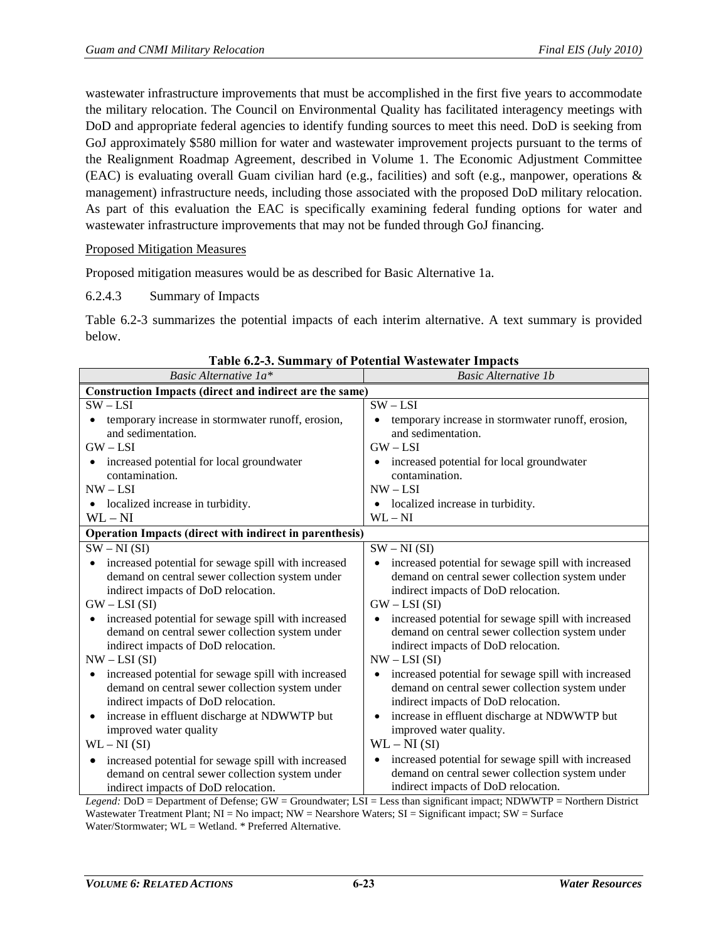wastewater infrastructure improvements that must be accomplished in the first five years to accommodate the military relocation. The Council on Environmental Quality has facilitated interagency meetings with DoD and appropriate federal agencies to identify funding sources to meet this need. DoD is seeking from GoJ approximately \$580 million for water and wastewater improvement projects pursuant to the terms of the Realignment Roadmap Agreement, described in Volume 1. The Economic Adjustment Committee (EAC) is evaluating overall Guam civilian hard (e.g., facilities) and soft (e.g., manpower, operations & management) infrastructure needs, including those associated with the proposed DoD military relocation. As part of this evaluation the EAC is specifically examining federal funding options for water and wastewater infrastructure improvements that may not be funded through GoJ financing.

## Proposed Mitigation Measures

Proposed mitigation measures would be as described for Basic Alternative 1a.

#### 6.2.4.3 Summary of Impacts

[Table 6.2-3](#page-22-0) summarizes the potential impacts of each interim alternative. A text summary is provided below.

<span id="page-22-0"></span>

| Basic Alternative 1a*                                                                                                           | <b>Basic Alternative 1b</b>                                      |
|---------------------------------------------------------------------------------------------------------------------------------|------------------------------------------------------------------|
| Construction Impacts (direct and indirect are the same)                                                                         |                                                                  |
| $SW - LSI$                                                                                                                      | $SW - LSI$                                                       |
| temporary increase in stormwater runoff, erosion,                                                                               | temporary increase in stormwater runoff, erosion,                |
| and sedimentation.                                                                                                              | and sedimentation.                                               |
| $GW - LSI$                                                                                                                      | $GW - LSI$                                                       |
| increased potential for local groundwater                                                                                       | increased potential for local groundwater                        |
| contamination.                                                                                                                  | contamination.                                                   |
| $NW - LSI$                                                                                                                      | $NW - LSI$                                                       |
| localized increase in turbidity.                                                                                                | • localized increase in turbidity.                               |
| $\rm WL-NI$                                                                                                                     | $WL - NI$                                                        |
| <b>Operation Impacts (direct with indirect in parenthesis)</b>                                                                  |                                                                  |
| $SW - NI(SI)$                                                                                                                   | $SW - NI(SI)$                                                    |
| increased potential for sewage spill with increased<br>$\bullet$                                                                | increased potential for sewage spill with increased<br>$\bullet$ |
| demand on central sewer collection system under                                                                                 | demand on central sewer collection system under                  |
| indirect impacts of DoD relocation.                                                                                             | indirect impacts of DoD relocation.                              |
| $GW - LSI(SI)$                                                                                                                  | $GW - LSI(SI)$                                                   |
| increased potential for sewage spill with increased                                                                             | increased potential for sewage spill with increased              |
| demand on central sewer collection system under                                                                                 | demand on central sewer collection system under                  |
| indirect impacts of DoD relocation.                                                                                             | indirect impacts of DoD relocation.                              |
| $NW - LSI(SI)$                                                                                                                  | $NW - LSI(SI)$                                                   |
| increased potential for sewage spill with increased<br>$\bullet$                                                                | increased potential for sewage spill with increased<br>$\bullet$ |
| demand on central sewer collection system under                                                                                 | demand on central sewer collection system under                  |
| indirect impacts of DoD relocation.                                                                                             | indirect impacts of DoD relocation.                              |
| increase in effluent discharge at NDWWTP but<br>$\bullet$                                                                       | increase in effluent discharge at NDWWTP but                     |
| improved water quality                                                                                                          | improved water quality.                                          |
| $WL - NI(SI)$                                                                                                                   | $WL - NI(SI)$                                                    |
| increased potential for sewage spill with increased<br>$\bullet$                                                                | increased potential for sewage spill with increased<br>$\bullet$ |
| demand on central sewer collection system under                                                                                 | demand on central sewer collection system under                  |
| indirect impacts of DoD relocation.                                                                                             | indirect impacts of DoD relocation.                              |
| $I$ egend: $D_0D$ – Department of Defense: $GW$ – Groundwater: $IST$ – Less than significant impact: NDWWTP – Northern District |                                                                  |

*Legend:* DoD = Department of Defense; GW = Groundwater; LSI = Less than significant impact; NDWWTP = Northern District Wastewater Treatment Plant;  $NI = No$  impact;  $NW = Nears$ hore Waters;  $SI = Significant$  impact;  $SW = Surface$ Water/Stormwater; WL = Wetland. \* Preferred Alternative.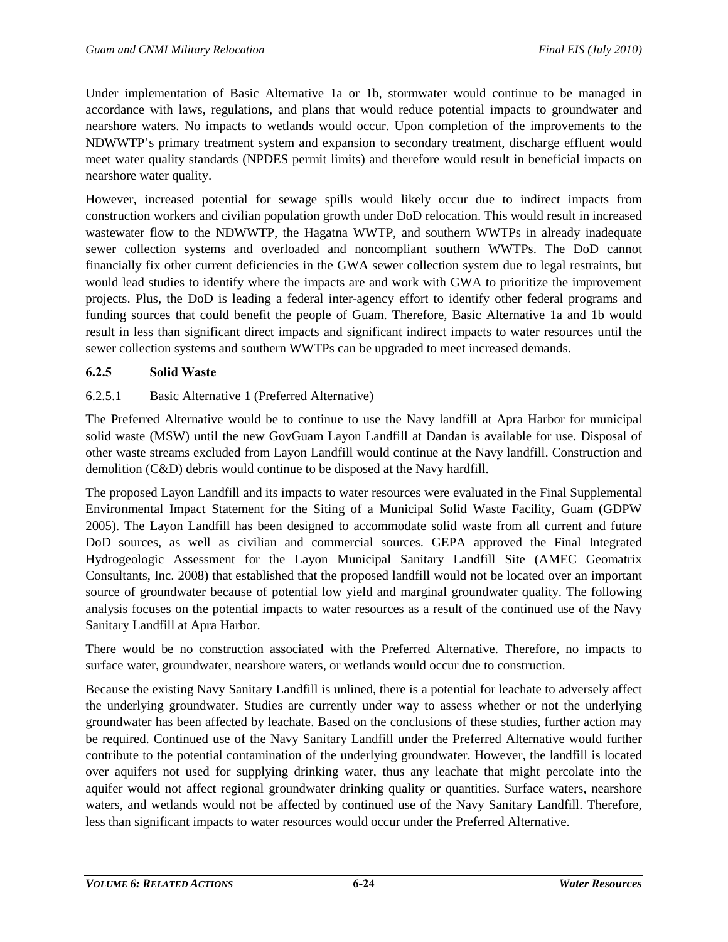Under implementation of Basic Alternative 1a or 1b, stormwater would continue to be managed in accordance with laws, regulations, and plans that would reduce potential impacts to groundwater and nearshore waters. No impacts to wetlands would occur. Upon completion of the improvements to the NDWWTP's primary treatment system and expansion to secondary treatment, discharge effluent would meet water quality standards (NPDES permit limits) and therefore would result in beneficial impacts on nearshore water quality.

However, increased potential for sewage spills would likely occur due to indirect impacts from construction workers and civilian population growth under DoD relocation. This would result in increased wastewater flow to the NDWWTP, the Hagatna WWTP, and southern WWTPs in already inadequate sewer collection systems and overloaded and noncompliant southern WWTPs. The DoD cannot financially fix other current deficiencies in the GWA sewer collection system due to legal restraints, but would lead studies to identify where the impacts are and work with GWA to prioritize the improvement projects. Plus, the DoD is leading a federal inter-agency effort to identify other federal programs and funding sources that could benefit the people of Guam. Therefore, Basic Alternative 1a and 1b would result in less than significant direct impacts and significant indirect impacts to water resources until the sewer collection systems and southern WWTPs can be upgraded to meet increased demands.

# **6.2.5 Solid Waste**

# 6.2.5.1 Basic Alternative 1 (Preferred Alternative)

The Preferred Alternative would be to continue to use the Navy landfill at Apra Harbor for municipal solid waste (MSW) until the new GovGuam Layon Landfill at Dandan is available for use. Disposal of other waste streams excluded from Layon Landfill would continue at the Navy landfill. Construction and demolition (C&D) debris would continue to be disposed at the Navy hardfill.

The proposed Layon Landfill and its impacts to water resources were evaluated in the Final Supplemental Environmental Impact Statement for the Siting of a Municipal Solid Waste Facility, Guam (GDPW 2005). The Layon Landfill has been designed to accommodate solid waste from all current and future DoD sources, as well as civilian and commercial sources. GEPA approved the Final Integrated Hydrogeologic Assessment for the Layon Municipal Sanitary Landfill Site (AMEC Geomatrix Consultants, Inc. 2008) that established that the proposed landfill would not be located over an important source of groundwater because of potential low yield and marginal groundwater quality. The following analysis focuses on the potential impacts to water resources as a result of the continued use of the Navy Sanitary Landfill at Apra Harbor.

There would be no construction associated with the Preferred Alternative. Therefore, no impacts to surface water, groundwater, nearshore waters, or wetlands would occur due to construction.

Because the existing Navy Sanitary Landfill is unlined, there is a potential for leachate to adversely affect the underlying groundwater. Studies are currently under way to assess whether or not the underlying groundwater has been affected by leachate. Based on the conclusions of these studies, further action may be required. Continued use of the Navy Sanitary Landfill under the Preferred Alternative would further contribute to the potential contamination of the underlying groundwater. However, the landfill is located over aquifers not used for supplying drinking water, thus any leachate that might percolate into the aquifer would not affect regional groundwater drinking quality or quantities. Surface waters, nearshore waters, and wetlands would not be affected by continued use of the Navy Sanitary Landfill. Therefore, less than significant impacts to water resources would occur under the Preferred Alternative.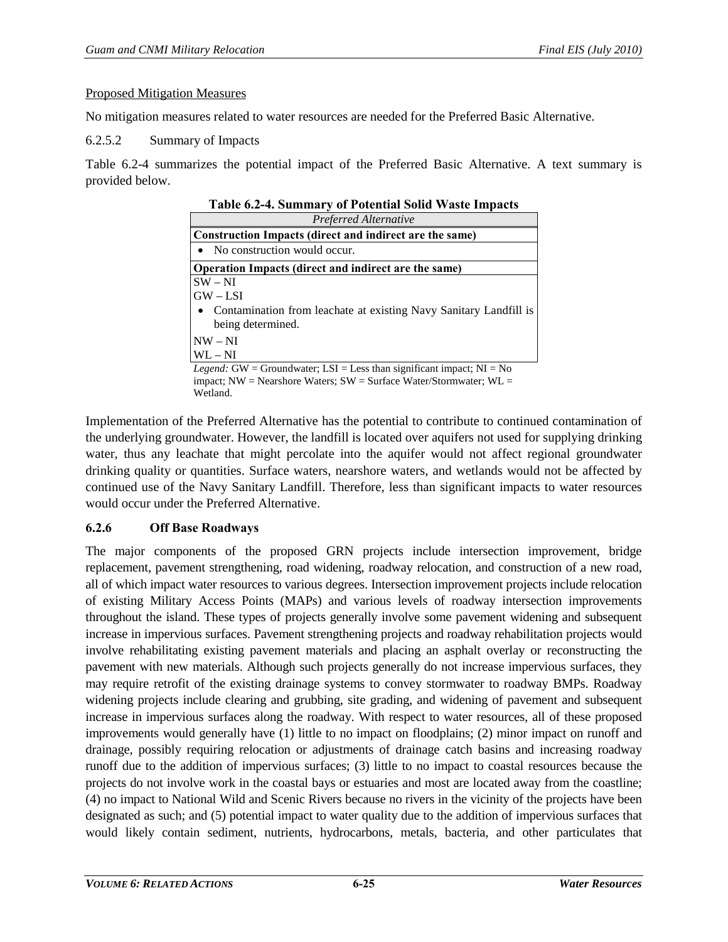#### Proposed Mitigation Measures

No mitigation measures related to water resources are needed for the Preferred Basic Alternative.

6.2.5.2 Summary of Impacts

<span id="page-24-0"></span>[Table 6.2-4](#page-24-0) summarizes the potential impact of the Preferred Basic Alternative. A text summary is provided below.

| <b>Table 6.2-4. Summary of Potential Solid Waste Impacts</b>                    |  |  |  |
|---------------------------------------------------------------------------------|--|--|--|
| Preferred Alternative                                                           |  |  |  |
| Construction Impacts (direct and indirect are the same)                         |  |  |  |
| • No construction would occur.                                                  |  |  |  |
| Operation Impacts (direct and indirect are the same)                            |  |  |  |
| $SW - NI$                                                                       |  |  |  |
| $GW - LSI$                                                                      |  |  |  |
| • Contamination from leachate at existing Navy Sanitary Landfill is             |  |  |  |
| being determined.                                                               |  |  |  |
| $NW - NI$                                                                       |  |  |  |
| $WL - NI$                                                                       |  |  |  |
| <i>Legend</i> : GW = Groundwater; LSI = Less than significant impact; $NI = No$ |  |  |  |
| impact; $NW = Nearshore Waters$ ; $SW = Surface Water/Stormwater$ ; $WL =$      |  |  |  |

Wetland.

Implementation of the Preferred Alternative has the potential to contribute to continued contamination of the underlying groundwater. However, the landfill is located over aquifers not used for supplying drinking water, thus any leachate that might percolate into the aquifer would not affect regional groundwater drinking quality or quantities. Surface waters, nearshore waters, and wetlands would not be affected by continued use of the Navy Sanitary Landfill. Therefore, less than significant impacts to water resources would occur under the Preferred Alternative.

## **6.2.6 Off Base Roadways**

The major components of the proposed GRN projects include intersection improvement, bridge replacement, pavement strengthening, road widening, roadway relocation, and construction of a new road, all of which impact water resources to various degrees. Intersection improvement projects include relocation of existing Military Access Points (MAPs) and various levels of roadway intersection improvements throughout the island. These types of projects generally involve some pavement widening and subsequent increase in impervious surfaces. Pavement strengthening projects and roadway rehabilitation projects would involve rehabilitating existing pavement materials and placing an asphalt overlay or reconstructing the pavement with new materials. Although such projects generally do not increase impervious surfaces, they may require retrofit of the existing drainage systems to convey stormwater to roadway BMPs. Roadway widening projects include clearing and grubbing, site grading, and widening of pavement and subsequent increase in impervious surfaces along the roadway. With respect to water resources, all of these proposed improvements would generally have (1) little to no impact on floodplains; (2) minor impact on runoff and drainage, possibly requiring relocation or adjustments of drainage catch basins and increasing roadway runoff due to the addition of impervious surfaces; (3) little to no impact to coastal resources because the projects do not involve work in the coastal bays or estuaries and most are located away from the coastline; (4) no impact to National Wild and Scenic Rivers because no rivers in the vicinity of the projects have been designated as such; and (5) potential impact to water quality due to the addition of impervious surfaces that would likely contain sediment, nutrients, hydrocarbons, metals, bacteria, and other particulates that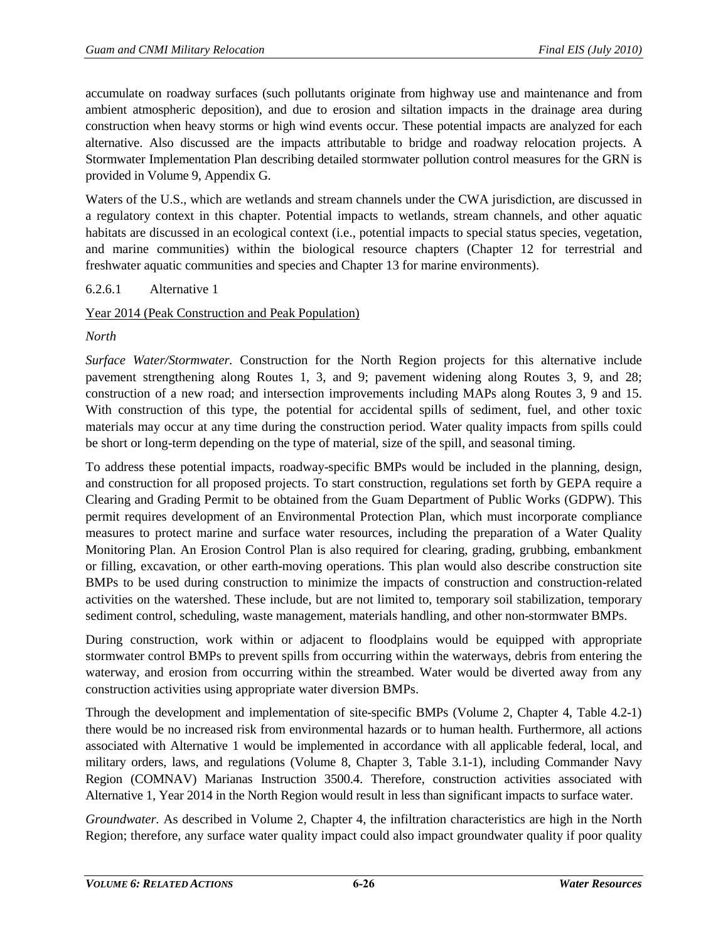accumulate on roadway surfaces (such pollutants originate from highway use and maintenance and from ambient atmospheric deposition), and due to erosion and siltation impacts in the drainage area during construction when heavy storms or high wind events occur. These potential impacts are analyzed for each alternative. Also discussed are the impacts attributable to bridge and roadway relocation projects. A Stormwater Implementation Plan describing detailed stormwater pollution control measures for the GRN is provided in Volume 9, Appendix G.

Waters of the U.S., which are wetlands and stream channels under the CWA jurisdiction, are discussed in a regulatory context in this chapter. Potential impacts to wetlands, stream channels, and other aquatic habitats are discussed in an ecological context (i.e., potential impacts to special status species, vegetation, and marine communities) within the biological resource chapters (Chapter 12 for terrestrial and freshwater aquatic communities and species and Chapter 13 for marine environments).

## <span id="page-25-0"></span>6.2.6.1 Alternative 1

## Year 2014 (Peak Construction and Peak Population)

#### *North*

*Surface Water/Stormwater.* Construction for the North Region projects for this alternative include pavement strengthening along Routes 1, 3, and 9; pavement widening along Routes 3, 9, and 28; construction of a new road; and intersection improvements including MAPs along Routes 3, 9 and 15. With construction of this type, the potential for accidental spills of sediment, fuel, and other toxic materials may occur at any time during the construction period. Water quality impacts from spills could be short or long-term depending on the type of material, size of the spill, and seasonal timing.

To address these potential impacts, roadway-specific BMPs would be included in the planning, design, and construction for all proposed projects. To start construction, regulations set forth by GEPA require a Clearing and Grading Permit to be obtained from the Guam Department of Public Works (GDPW). This permit requires development of an Environmental Protection Plan, which must incorporate compliance measures to protect marine and surface water resources, including the preparation of a Water Quality Monitoring Plan. An Erosion Control Plan is also required for clearing, grading, grubbing, embankment or filling, excavation, or other earth-moving operations. This plan would also describe construction site BMPs to be used during construction to minimize the impacts of construction and construction-related activities on the watershed. These include, but are not limited to, temporary soil stabilization, temporary sediment control, scheduling, waste management, materials handling, and other non-stormwater BMPs.

During construction, work within or adjacent to floodplains would be equipped with appropriate stormwater control BMPs to prevent spills from occurring within the waterways, debris from entering the waterway, and erosion from occurring within the streambed. Water would be diverted away from any construction activities using appropriate water diversion BMPs.

Through the development and implementation of site-specific BMPs (Volume 2, Chapter 4, Table 4.2-1) there would be no increased risk from environmental hazards or to human health. Furthermore, all actions associated with Alternative 1 would be implemented in accordance with all applicable federal, local, and military orders, laws, and regulations (Volume 8, Chapter 3, Table 3.1-1), including Commander Navy Region (COMNAV) Marianas Instruction 3500.4. Therefore, construction activities associated with Alternative 1, Year 2014 in the North Region would result in less than significant impacts to surface water.

*Groundwater.* As described in Volume 2, Chapter 4, the infiltration characteristics are high in the North Region; therefore, any surface water quality impact could also impact groundwater quality if poor quality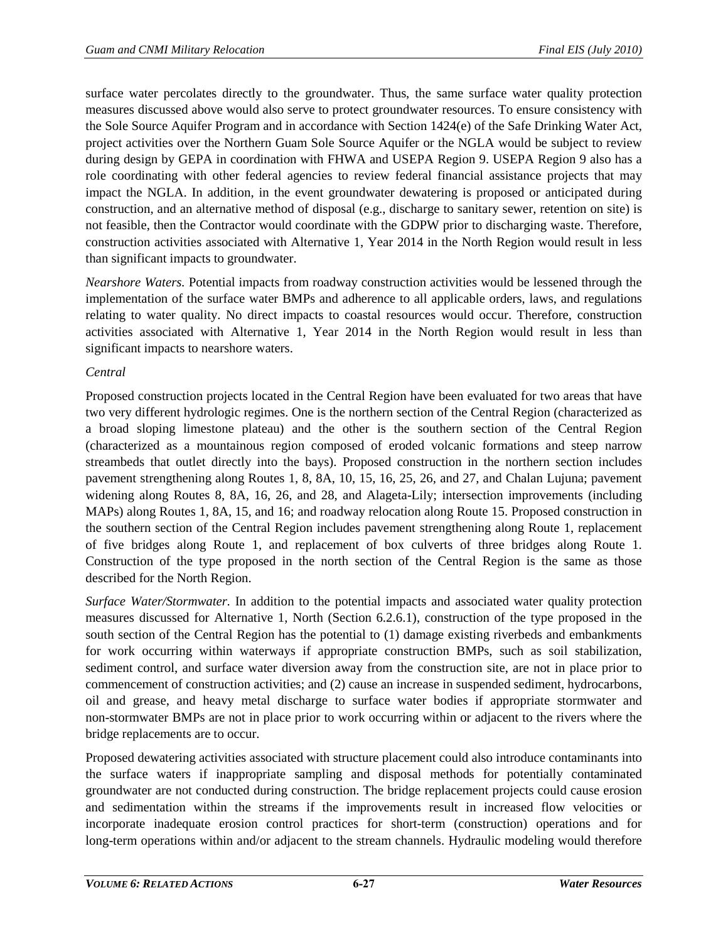surface water percolates directly to the groundwater. Thus, the same surface water quality protection measures discussed above would also serve to protect groundwater resources. To ensure consistency with the Sole Source Aquifer Program and in accordance with Section 1424(e) of the Safe Drinking Water Act, project activities over the Northern Guam Sole Source Aquifer or the NGLA would be subject to review during design by GEPA in coordination with FHWA and USEPA Region 9. USEPA Region 9 also has a role coordinating with other federal agencies to review federal financial assistance projects that may impact the NGLA. In addition, in the event groundwater dewatering is proposed or anticipated during construction, and an alternative method of disposal (e.g., discharge to sanitary sewer, retention on site) is not feasible, then the Contractor would coordinate with the GDPW prior to discharging waste. Therefore, construction activities associated with Alternative 1, Year 2014 in the North Region would result in less than significant impacts to groundwater.

*Nearshore Waters.* Potential impacts from roadway construction activities would be lessened through the implementation of the surface water BMPs and adherence to all applicable orders, laws, and regulations relating to water quality. No direct impacts to coastal resources would occur. Therefore, construction activities associated with Alternative 1, Year 2014 in the North Region would result in less than significant impacts to nearshore waters.

# *Central*

Proposed construction projects located in the Central Region have been evaluated for two areas that have two very different hydrologic regimes. One is the northern section of the Central Region (characterized as a broad sloping limestone plateau) and the other is the southern section of the Central Region (characterized as a mountainous region composed of eroded volcanic formations and steep narrow streambeds that outlet directly into the bays). Proposed construction in the northern section includes pavement strengthening along Routes 1, 8, 8A, 10, 15, 16, 25, 26, and 27, and Chalan Lujuna; pavement widening along Routes 8, 8A, 16, 26, and 28, and Alageta-Lily; intersection improvements (including MAPs) along Routes 1, 8A, 15, and 16; and roadway relocation along Route 15. Proposed construction in the southern section of the Central Region includes pavement strengthening along Route 1, replacement of five bridges along Route 1, and replacement of box culverts of three bridges along Route 1. Construction of the type proposed in the north section of the Central Region is the same as those described for the North Region.

*Surface Water/Stormwater.* In addition to the potential impacts and associated water quality protection measures discussed for Alternative 1, North (Section [6.2.6.1\)](#page-25-0), construction of the type proposed in the south section of the Central Region has the potential to (1) damage existing riverbeds and embankments for work occurring within waterways if appropriate construction BMPs, such as soil stabilization, sediment control, and surface water diversion away from the construction site, are not in place prior to commencement of construction activities; and (2) cause an increase in suspended sediment, hydrocarbons, oil and grease, and heavy metal discharge to surface water bodies if appropriate stormwater and non-stormwater BMPs are not in place prior to work occurring within or adjacent to the rivers where the bridge replacements are to occur.

Proposed dewatering activities associated with structure placement could also introduce contaminants into the surface waters if inappropriate sampling and disposal methods for potentially contaminated groundwater are not conducted during construction. The bridge replacement projects could cause erosion and sedimentation within the streams if the improvements result in increased flow velocities or incorporate inadequate erosion control practices for short-term (construction) operations and for long-term operations within and/or adjacent to the stream channels. Hydraulic modeling would therefore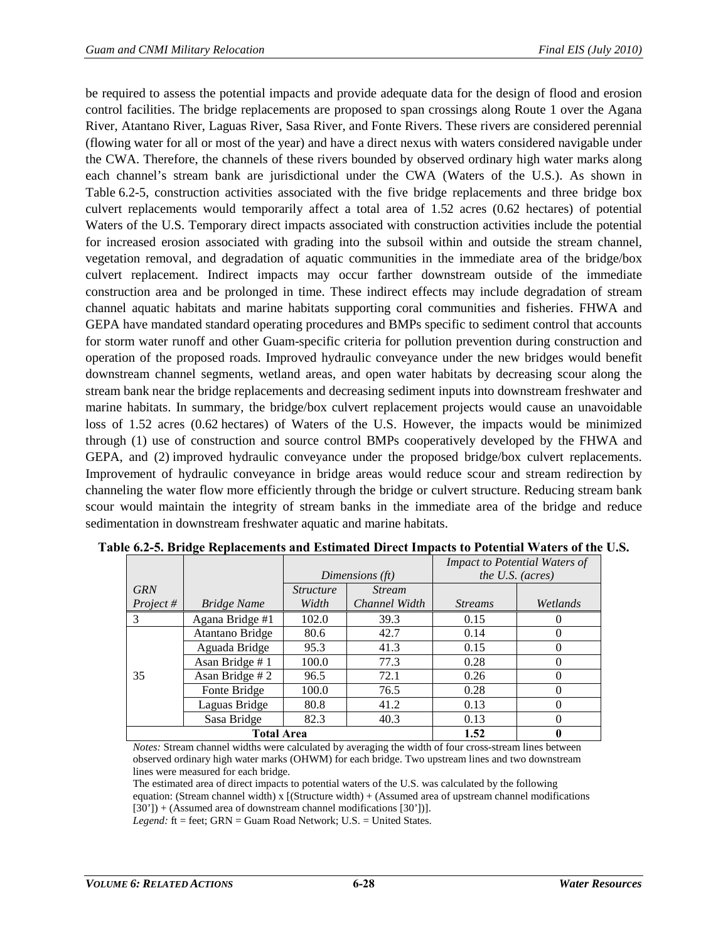be required to assess the potential impacts and provide adequate data for the design of flood and erosion control facilities. The bridge replacements are proposed to span crossings along Route 1 over the Agana River, Atantano River, Laguas River, Sasa River, and Fonte Rivers. These rivers are considered perennial (flowing water for all or most of the year) and have a direct nexus with waters considered navigable under the CWA. Therefore, the channels of these rivers bounded by observed ordinary high water marks along each channel's stream bank are jurisdictional under the CWA (Waters of the U.S.). As shown in [Table 6.2-5,](#page-27-0) construction activities associated with the five bridge replacements and three bridge box culvert replacements would temporarily affect a total area of 1.52 acres (0.62 hectares) of potential Waters of the U.S. Temporary direct impacts associated with construction activities include the potential for increased erosion associated with grading into the subsoil within and outside the stream channel, vegetation removal, and degradation of aquatic communities in the immediate area of the bridge/box culvert replacement. Indirect impacts may occur farther downstream outside of the immediate construction area and be prolonged in time. These indirect effects may include degradation of stream channel aquatic habitats and marine habitats supporting coral communities and fisheries. FHWA and GEPA have mandated standard operating procedures and BMPs specific to sediment control that accounts for storm water runoff and other Guam-specific criteria for pollution prevention during construction and operation of the proposed roads. Improved hydraulic conveyance under the new bridges would benefit downstream channel segments, wetland areas, and open water habitats by decreasing scour along the stream bank near the bridge replacements and decreasing sediment inputs into downstream freshwater and marine habitats. In summary, the bridge/box culvert replacement projects would cause an unavoidable loss of 1.52 acres (0.62 hectares) of Waters of the U.S. However, the impacts would be minimized through (1) use of construction and source control BMPs cooperatively developed by the FHWA and GEPA, and (2) improved hydraulic conveyance under the proposed bridge/box culvert replacements. Improvement of hydraulic conveyance in bridge areas would reduce scour and stream redirection by channeling the water flow more efficiently through the bridge or culvert structure. Reducing stream bank scour would maintain the integrity of stream banks in the immediate area of the bridge and reduce sedimentation in downstream freshwater aquatic and marine habitats.

|            | -                  |                  |               |                  | <b>Impact to Potential Waters of</b> |
|------------|--------------------|------------------|---------------|------------------|--------------------------------------|
|            |                    | Dimensions (ft)  |               | the U.S. (acres) |                                      |
| <b>GRN</b> |                    | <i>Structure</i> | <b>Stream</b> |                  |                                      |
| Project#   | <b>Bridge Name</b> | Width            | Channel Width | <b>Streams</b>   | Wetlands                             |
| 3          | Agana Bridge #1    | 102.0            | 39.3          | 0.15             | 0                                    |
|            | Atantano Bridge    | 80.6             | 42.7          | 0.14             | $\theta$                             |
|            | Aguada Bridge      | 95.3             | 41.3          | 0.15             | $\Omega$                             |
|            | Asan Bridge #1     | 100.0            | 77.3          | 0.28             | 0                                    |
| 35         | Asan Bridge # 2    | 96.5             | 72.1          | 0.26             | 0                                    |
|            | Fonte Bridge       | 100.0            | 76.5          | 0.28             | $\theta$                             |
|            | Laguas Bridge      | 80.8             | 41.2          | 0.13             | 0                                    |
|            | Sasa Bridge        | 82.3             | 40.3          | 0.13             | 0                                    |
|            | <b>Total Area</b>  | 1.52             | 0             |                  |                                      |

<span id="page-27-0"></span>

|  |  | Table 6.2-5. Bridge Replacements and Estimated Direct Impacts to Potential Waters of the U.S. |  |  |  |
|--|--|-----------------------------------------------------------------------------------------------|--|--|--|
|  |  |                                                                                               |  |  |  |

*Notes:* Stream channel widths were calculated by averaging the width of four cross-stream lines between observed ordinary high water marks (OHWM) for each bridge. Two upstream lines and two downstream lines were measured for each bridge.

The estimated area of direct impacts to potential waters of the U.S. was calculated by the following equation: (Stream channel width) x  $[(Structure width) + (Assumed area of upstream channel modifications]$  $[30']$  + (Assumed area of downstream channel modifications  $[30']$ )].

*Legend:* ft = feet; GRN = Guam Road Network; U.S. = United States.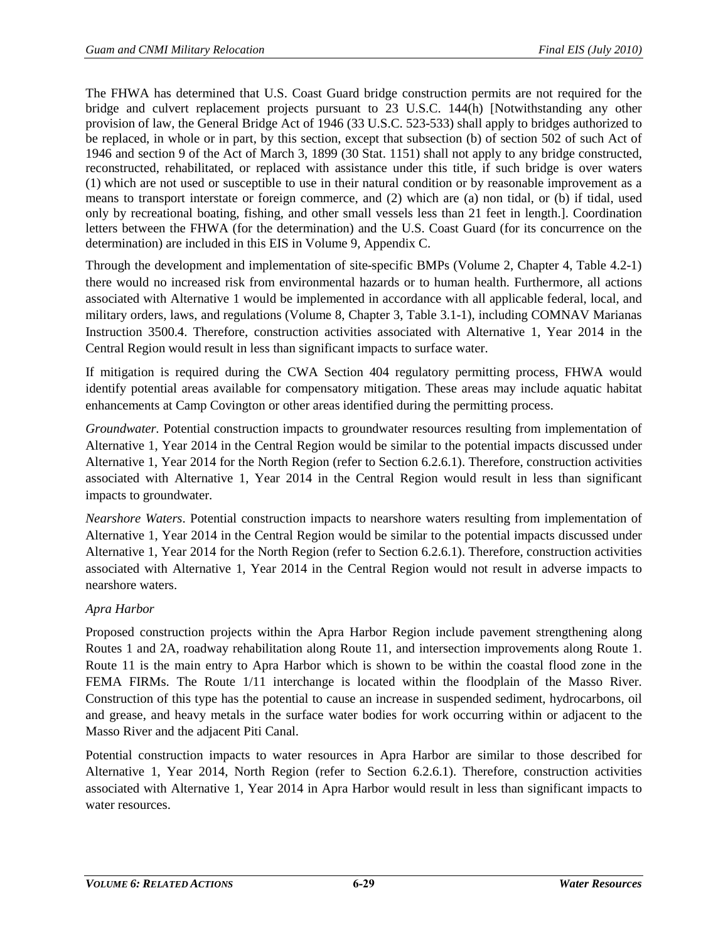The FHWA has determined that U.S. Coast Guard bridge construction permits are not required for the bridge and culvert replacement projects pursuant to 23 U.S.C. 144(h) [Notwithstanding any other provision of law, the General Bridge Act of 1946 (33 U.S.C. 523-533) shall apply to bridges authorized to be replaced, in whole or in part, by this section, except that subsection (b) of section 502 of such Act of 1946 and section 9 of the Act of March 3, 1899 (30 Stat. 1151) shall not apply to any bridge constructed, reconstructed, rehabilitated, or replaced with assistance under this title, if such bridge is over waters (1) which are not used or susceptible to use in their natural condition or by reasonable improvement as a means to transport interstate or foreign commerce, and (2) which are (a) non tidal, or (b) if tidal, used only by recreational boating, fishing, and other small vessels less than 21 feet in length.]. Coordination letters between the FHWA (for the determination) and the U.S. Coast Guard (for its concurrence on the determination) are included in this EIS in Volume 9, Appendix C.

Through the development and implementation of site-specific BMPs (Volume 2, Chapter 4, Table 4.2-1) there would no increased risk from environmental hazards or to human health. Furthermore, all actions associated with Alternative 1 would be implemented in accordance with all applicable federal, local, and military orders, laws, and regulations (Volume 8, Chapter 3, Table 3.1-1), including COMNAV Marianas Instruction 3500.4. Therefore, construction activities associated with Alternative 1, Year 2014 in the Central Region would result in less than significant impacts to surface water.

If mitigation is required during the CWA Section 404 regulatory permitting process, FHWA would identify potential areas available for compensatory mitigation. These areas may include aquatic habitat enhancements at Camp Covington or other areas identified during the permitting process.

*Groundwater.* Potential construction impacts to groundwater resources resulting from implementation of Alternative 1, Year 2014 in the Central Region would be similar to the potential impacts discussed under Alternative 1, Year 2014 for the North Region (refer to Section [6.2.6.1\)](#page-25-0). Therefore, construction activities associated with Alternative 1, Year 2014 in the Central Region would result in less than significant impacts to groundwater.

*Nearshore Waters*. Potential construction impacts to nearshore waters resulting from implementation of Alternative 1, Year 2014 in the Central Region would be similar to the potential impacts discussed under Alternative 1, Year 2014 for the North Region (refer to Section [6.2.6.1\)](#page-25-0). Therefore, construction activities associated with Alternative 1, Year 2014 in the Central Region would not result in adverse impacts to nearshore waters.

# *Apra Harbor*

Proposed construction projects within the Apra Harbor Region include pavement strengthening along Routes 1 and 2A, roadway rehabilitation along Route 11, and intersection improvements along Route 1. Route 11 is the main entry to Apra Harbor which is shown to be within the coastal flood zone in the FEMA FIRMs. The Route 1/11 interchange is located within the floodplain of the Masso River. Construction of this type has the potential to cause an increase in suspended sediment, hydrocarbons, oil and grease, and heavy metals in the surface water bodies for work occurring within or adjacent to the Masso River and the adjacent Piti Canal.

Potential construction impacts to water resources in Apra Harbor are similar to those described for Alternative 1, Year 2014, North Region (refer to Section [6.2.6.1\)](#page-25-0). Therefore, construction activities associated with Alternative 1, Year 2014 in Apra Harbor would result in less than significant impacts to water resources.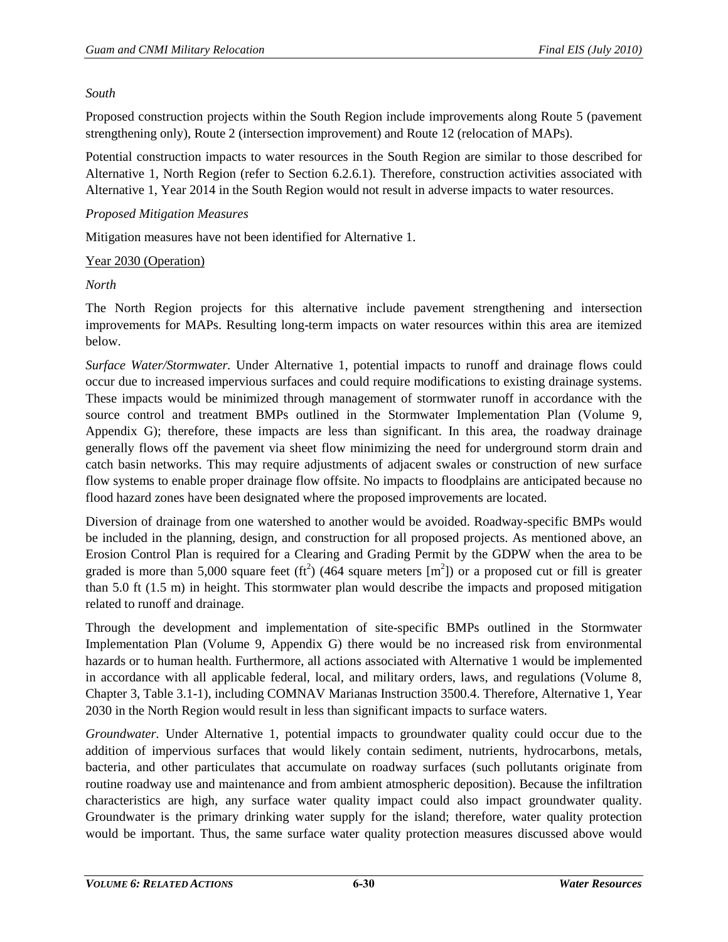#### *South*

Proposed construction projects within the South Region include improvements along Route 5 (pavement strengthening only), Route 2 (intersection improvement) and Route 12 (relocation of MAPs).

Potential construction impacts to water resources in the South Region are similar to those described for Alternative 1, North Region (refer to Section [6.2.6.1\)](#page-25-0). Therefore, construction activities associated with Alternative 1, Year 2014 in the South Region would not result in adverse impacts to water resources.

#### *Proposed Mitigation Measures*

Mitigation measures have not been identified for Alternative 1.

#### Year 2030 (Operation)

## *North*

The North Region projects for this alternative include pavement strengthening and intersection improvements for MAPs. Resulting long-term impacts on water resources within this area are itemized below.

*Surface Water/Stormwater.* Under Alternative 1, potential impacts to runoff and drainage flows could occur due to increased impervious surfaces and could require modifications to existing drainage systems. These impacts would be minimized through management of stormwater runoff in accordance with the source control and treatment BMPs outlined in the Stormwater Implementation Plan (Volume 9, Appendix G); therefore, these impacts are less than significant. In this area, the roadway drainage generally flows off the pavement via sheet flow minimizing the need for underground storm drain and catch basin networks. This may require adjustments of adjacent swales or construction of new surface flow systems to enable proper drainage flow offsite. No impacts to floodplains are anticipated because no flood hazard zones have been designated where the proposed improvements are located.

Diversion of drainage from one watershed to another would be avoided. Roadway-specific BMPs would be included in the planning, design, and construction for all proposed projects. As mentioned above, an Erosion Control Plan is required for a Clearing and Grading Permit by the GDPW when the area to be graded is more than 5,000 square feet (ft<sup>2</sup>) (464 square meters  $[m^2]$ ) or a proposed cut or fill is greater than 5.0 ft (1.5 m) in height. This stormwater plan would describe the impacts and proposed mitigation related to runoff and drainage.

Through the development and implementation of site-specific BMPs outlined in the Stormwater Implementation Plan (Volume 9, Appendix G) there would be no increased risk from environmental hazards or to human health. Furthermore, all actions associated with Alternative 1 would be implemented in accordance with all applicable federal, local, and military orders, laws, and regulations (Volume 8, Chapter 3, Table 3.1-1), including COMNAV Marianas Instruction 3500.4. Therefore, Alternative 1, Year 2030 in the North Region would result in less than significant impacts to surface waters.

*Groundwater.* Under Alternative 1, potential impacts to groundwater quality could occur due to the addition of impervious surfaces that would likely contain sediment, nutrients, hydrocarbons, metals, bacteria, and other particulates that accumulate on roadway surfaces (such pollutants originate from routine roadway use and maintenance and from ambient atmospheric deposition). Because the infiltration characteristics are high, any surface water quality impact could also impact groundwater quality. Groundwater is the primary drinking water supply for the island; therefore, water quality protection would be important. Thus, the same surface water quality protection measures discussed above would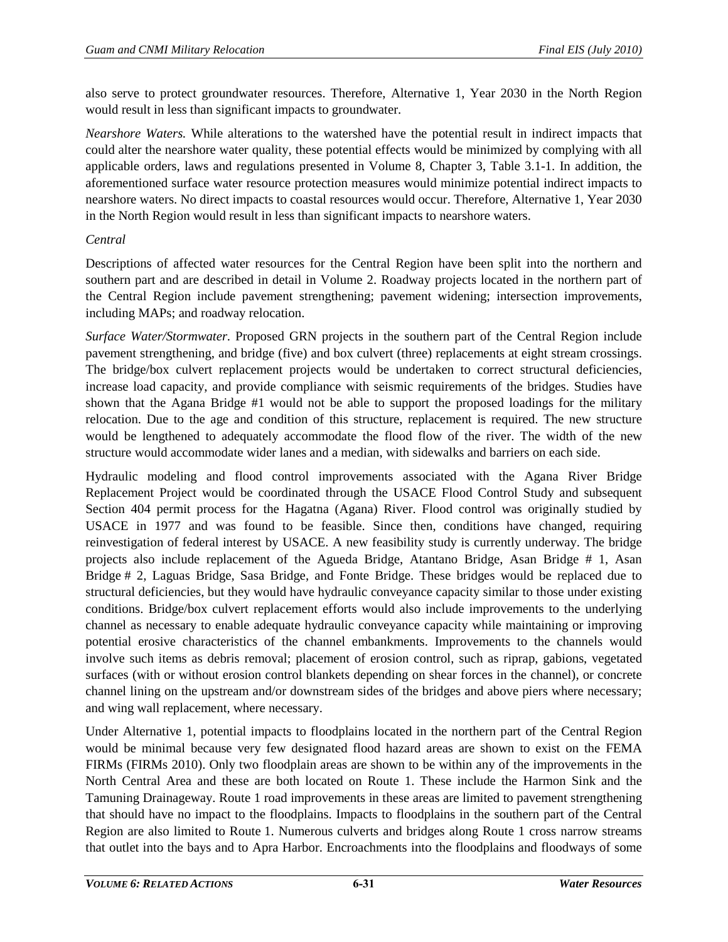also serve to protect groundwater resources. Therefore, Alternative 1, Year 2030 in the North Region would result in less than significant impacts to groundwater.

*Nearshore Waters.* While alterations to the watershed have the potential result in indirect impacts that could alter the nearshore water quality, these potential effects would be minimized by complying with all applicable orders, laws and regulations presented in Volume 8, Chapter 3, Table 3.1-1. In addition, the aforementioned surface water resource protection measures would minimize potential indirect impacts to nearshore waters. No direct impacts to coastal resources would occur. Therefore, Alternative 1, Year 2030 in the North Region would result in less than significant impacts to nearshore waters.

# *Central*

Descriptions of affected water resources for the Central Region have been split into the northern and southern part and are described in detail in Volume 2. Roadway projects located in the northern part of the Central Region include pavement strengthening; pavement widening; intersection improvements, including MAPs; and roadway relocation.

*Surface Water/Stormwater.* Proposed GRN projects in the southern part of the Central Region include pavement strengthening, and bridge (five) and box culvert (three) replacements at eight stream crossings. The bridge/box culvert replacement projects would be undertaken to correct structural deficiencies, increase load capacity, and provide compliance with seismic requirements of the bridges. Studies have shown that the Agana Bridge #1 would not be able to support the proposed loadings for the military relocation. Due to the age and condition of this structure, replacement is required. The new structure would be lengthened to adequately accommodate the flood flow of the river. The width of the new structure would accommodate wider lanes and a median, with sidewalks and barriers on each side.

Hydraulic modeling and flood control improvements associated with the Agana River Bridge Replacement Project would be coordinated through the USACE Flood Control Study and subsequent Section 404 permit process for the Hagatna (Agana) River. Flood control was originally studied by USACE in 1977 and was found to be feasible. Since then, conditions have changed, requiring reinvestigation of federal interest by USACE. A new feasibility study is currently underway. The bridge projects also include replacement of the Agueda Bridge, Atantano Bridge, Asan Bridge # 1, Asan Bridge # 2, Laguas Bridge, Sasa Bridge, and Fonte Bridge. These bridges would be replaced due to structural deficiencies, but they would have hydraulic conveyance capacity similar to those under existing conditions. Bridge/box culvert replacement efforts would also include improvements to the underlying channel as necessary to enable adequate hydraulic conveyance capacity while maintaining or improving potential erosive characteristics of the channel embankments. Improvements to the channels would involve such items as debris removal; placement of erosion control, such as riprap, gabions, vegetated surfaces (with or without erosion control blankets depending on shear forces in the channel), or concrete channel lining on the upstream and/or downstream sides of the bridges and above piers where necessary; and wing wall replacement, where necessary.

Under Alternative 1, potential impacts to floodplains located in the northern part of the Central Region would be minimal because very few designated flood hazard areas are shown to exist on the FEMA FIRMs (FIRMs 2010). Only two floodplain areas are shown to be within any of the improvements in the North Central Area and these are both located on Route 1. These include the Harmon Sink and the Tamuning Drainageway. Route 1 road improvements in these areas are limited to pavement strengthening that should have no impact to the floodplains. Impacts to floodplains in the southern part of the Central Region are also limited to Route 1. Numerous culverts and bridges along Route 1 cross narrow streams that outlet into the bays and to Apra Harbor. Encroachments into the floodplains and floodways of some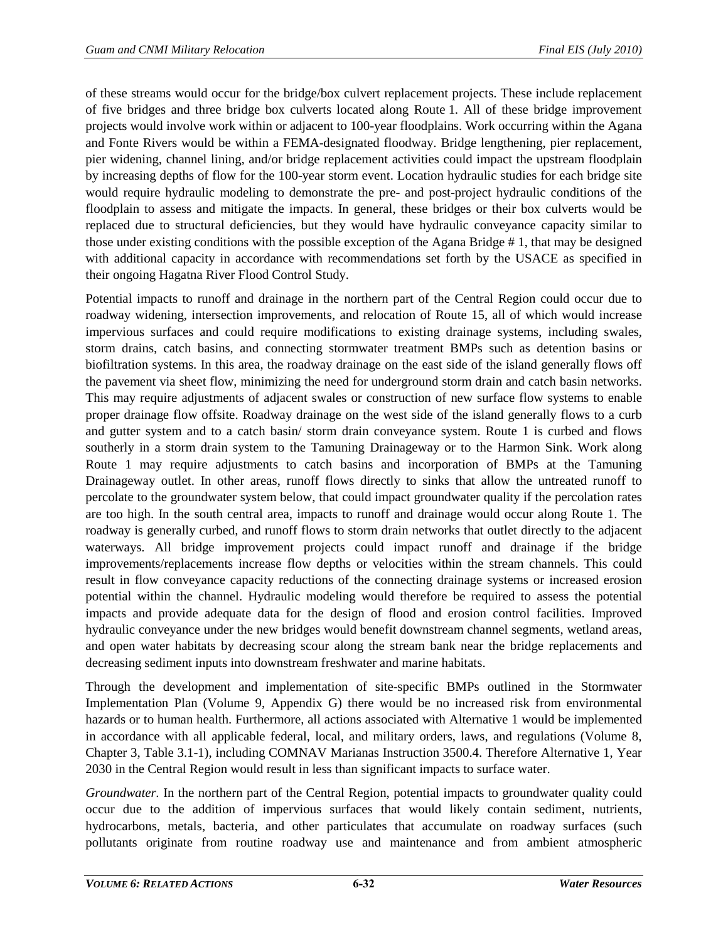of these streams would occur for the bridge/box culvert replacement projects. These include replacement of five bridges and three bridge box culverts located along Route 1. All of these bridge improvement projects would involve work within or adjacent to 100-year floodplains. Work occurring within the Agana and Fonte Rivers would be within a FEMA-designated floodway. Bridge lengthening, pier replacement, pier widening, channel lining, and/or bridge replacement activities could impact the upstream floodplain by increasing depths of flow for the 100-year storm event. Location hydraulic studies for each bridge site would require hydraulic modeling to demonstrate the pre- and post-project hydraulic conditions of the floodplain to assess and mitigate the impacts. In general, these bridges or their box culverts would be replaced due to structural deficiencies, but they would have hydraulic conveyance capacity similar to those under existing conditions with the possible exception of the Agana Bridge # 1, that may be designed with additional capacity in accordance with recommendations set forth by the USACE as specified in their ongoing Hagatna River Flood Control Study.

Potential impacts to runoff and drainage in the northern part of the Central Region could occur due to roadway widening, intersection improvements, and relocation of Route 15, all of which would increase impervious surfaces and could require modifications to existing drainage systems, including swales, storm drains, catch basins, and connecting stormwater treatment BMPs such as detention basins or biofiltration systems. In this area, the roadway drainage on the east side of the island generally flows off the pavement via sheet flow, minimizing the need for underground storm drain and catch basin networks. This may require adjustments of adjacent swales or construction of new surface flow systems to enable proper drainage flow offsite. Roadway drainage on the west side of the island generally flows to a curb and gutter system and to a catch basin/ storm drain conveyance system. Route 1 is curbed and flows southerly in a storm drain system to the Tamuning Drainageway or to the Harmon Sink. Work along Route 1 may require adjustments to catch basins and incorporation of BMPs at the Tamuning Drainageway outlet. In other areas, runoff flows directly to sinks that allow the untreated runoff to percolate to the groundwater system below, that could impact groundwater quality if the percolation rates are too high. In the south central area, impacts to runoff and drainage would occur along Route 1. The roadway is generally curbed, and runoff flows to storm drain networks that outlet directly to the adjacent waterways. All bridge improvement projects could impact runoff and drainage if the bridge improvements/replacements increase flow depths or velocities within the stream channels. This could result in flow conveyance capacity reductions of the connecting drainage systems or increased erosion potential within the channel. Hydraulic modeling would therefore be required to assess the potential impacts and provide adequate data for the design of flood and erosion control facilities. Improved hydraulic conveyance under the new bridges would benefit downstream channel segments, wetland areas, and open water habitats by decreasing scour along the stream bank near the bridge replacements and decreasing sediment inputs into downstream freshwater and marine habitats.

Through the development and implementation of site-specific BMPs outlined in the Stormwater Implementation Plan (Volume 9, Appendix G) there would be no increased risk from environmental hazards or to human health. Furthermore, all actions associated with Alternative 1 would be implemented in accordance with all applicable federal, local, and military orders, laws, and regulations (Volume 8, Chapter 3, Table 3.1-1), including COMNAV Marianas Instruction 3500.4. Therefore Alternative 1, Year 2030 in the Central Region would result in less than significant impacts to surface water.

*Groundwater.* In the northern part of the Central Region, potential impacts to groundwater quality could occur due to the addition of impervious surfaces that would likely contain sediment, nutrients, hydrocarbons, metals, bacteria, and other particulates that accumulate on roadway surfaces (such pollutants originate from routine roadway use and maintenance and from ambient atmospheric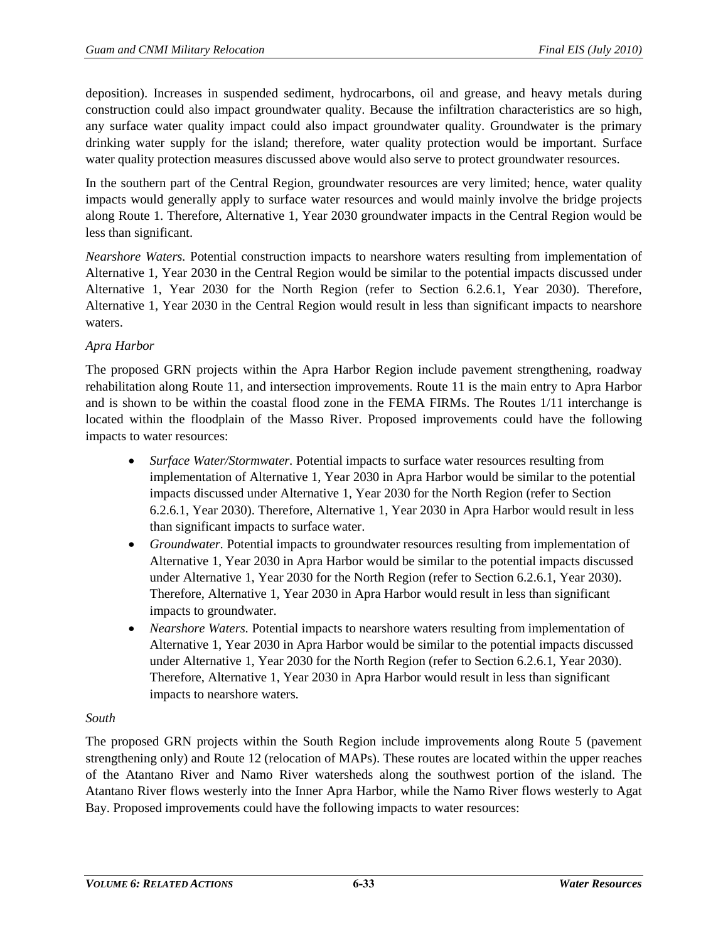deposition). Increases in suspended sediment, hydrocarbons, oil and grease, and heavy metals during construction could also impact groundwater quality. Because the infiltration characteristics are so high, any surface water quality impact could also impact groundwater quality. Groundwater is the primary drinking water supply for the island; therefore, water quality protection would be important. Surface water quality protection measures discussed above would also serve to protect groundwater resources.

In the southern part of the Central Region, groundwater resources are very limited; hence, water quality impacts would generally apply to surface water resources and would mainly involve the bridge projects along Route 1. Therefore, Alternative 1, Year 2030 groundwater impacts in the Central Region would be less than significant.

*Nearshore Waters.* Potential construction impacts to nearshore waters resulting from implementation of Alternative 1, Year 2030 in the Central Region would be similar to the potential impacts discussed under Alternative 1, Year 2030 for the North Region (refer to Section [6.2.6.1,](#page-25-0) Year 2030). Therefore, Alternative 1, Year 2030 in the Central Region would result in less than significant impacts to nearshore waters.

# *Apra Harbor*

The proposed GRN projects within the Apra Harbor Region include pavement strengthening, roadway rehabilitation along Route 11, and intersection improvements. Route 11 is the main entry to Apra Harbor and is shown to be within the coastal flood zone in the FEMA FIRMs. The Routes 1/11 interchange is located within the floodplain of the Masso River. Proposed improvements could have the following impacts to water resources:

- *Surface Water/Stormwater.* Potential impacts to surface water resources resulting from implementation of Alternative 1, Year 2030 in Apra Harbor would be similar to the potential impacts discussed under Alternative 1, Year 2030 for the North Region (refer to Section [6.2.6.1,](#page-25-0) Year 2030). Therefore, Alternative 1, Year 2030 in Apra Harbor would result in less than significant impacts to surface water.
- *Groundwater.* Potential impacts to groundwater resources resulting from implementation of Alternative 1, Year 2030 in Apra Harbor would be similar to the potential impacts discussed under Alternative 1, Year 2030 for the North Region (refer to Section [6.2.6.1,](#page-25-0) Year 2030). Therefore, Alternative 1, Year 2030 in Apra Harbor would result in less than significant impacts to groundwater.
- *Nearshore Waters*. Potential impacts to nearshore waters resulting from implementation of Alternative 1, Year 2030 in Apra Harbor would be similar to the potential impacts discussed under Alternative 1, Year 2030 for the North Region (refer to Section [6.2.6.1,](#page-25-0) Year 2030). Therefore, Alternative 1, Year 2030 in Apra Harbor would result in less than significant impacts to nearshore waters.

## *South*

The proposed GRN projects within the South Region include improvements along Route 5 (pavement strengthening only) and Route 12 (relocation of MAPs). These routes are located within the upper reaches of the Atantano River and Namo River watersheds along the southwest portion of the island. The Atantano River flows westerly into the Inner Apra Harbor, while the Namo River flows westerly to Agat Bay. Proposed improvements could have the following impacts to water resources: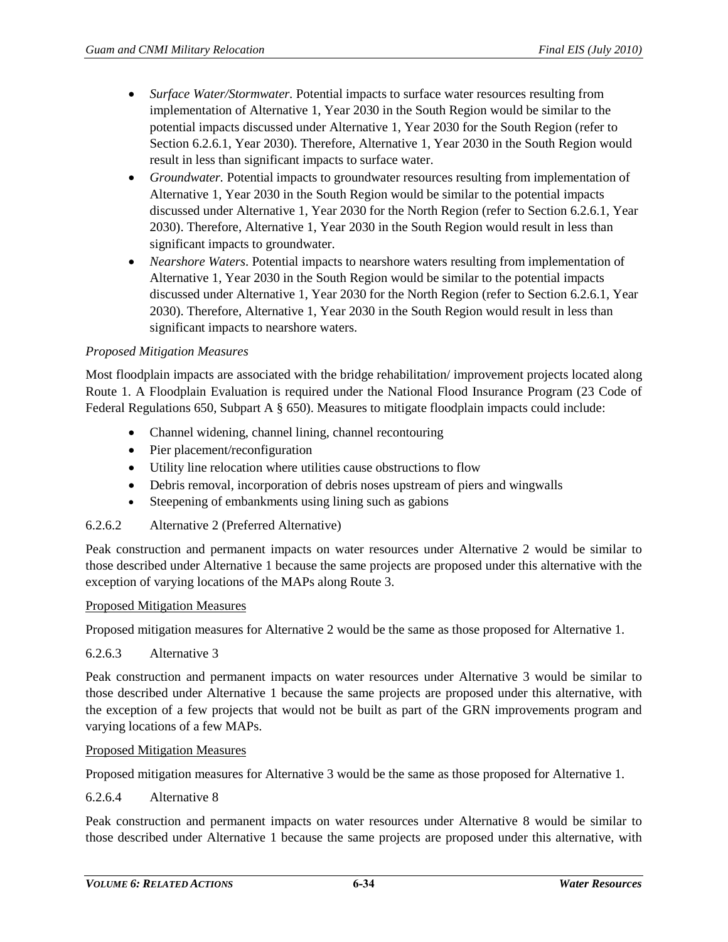- *Surface Water/Stormwater.* Potential impacts to surface water resources resulting from implementation of Alternative 1, Year 2030 in the South Region would be similar to the potential impacts discussed under Alternative 1, Year 2030 for the South Region (refer to Sectio[n 6.2.6.1,](#page-25-0) Year 2030). Therefore, Alternative 1, Year 2030 in the South Region would result in less than significant impacts to surface water.
- *Groundwater.* Potential impacts to groundwater resources resulting from implementation of Alternative 1, Year 2030 in the South Region would be similar to the potential impacts discussed under Alternative 1, Year 2030 for the North Region (refer to Sectio[n 6.2.6.1,](#page-25-0) Year 2030). Therefore, Alternative 1, Year 2030 in the South Region would result in less than significant impacts to groundwater.
- *Nearshore Waters*. Potential impacts to nearshore waters resulting from implementation of Alternative 1, Year 2030 in the South Region would be similar to the potential impacts discussed under Alternative 1, Year 2030 for the North Region (refer to Sectio[n 6.2.6.1,](#page-25-0) Year 2030). Therefore, Alternative 1, Year 2030 in the South Region would result in less than significant impacts to nearshore waters.

#### *Proposed Mitigation Measures*

Most floodplain impacts are associated with the bridge rehabilitation/ improvement projects located along Route 1. A Floodplain Evaluation is required under the National Flood Insurance Program (23 Code of Federal Regulations 650, Subpart A § 650). Measures to mitigate floodplain impacts could include:

- Channel widening, channel lining, channel recontouring
- Pier placement/reconfiguration
- Utility line relocation where utilities cause obstructions to flow
- Debris removal, incorporation of debris noses upstream of piers and wingwalls
- Steepening of embankments using lining such as gabions

#### 6.2.6.2 Alternative 2 (Preferred Alternative)

Peak construction and permanent impacts on water resources under Alternative 2 would be similar to those described under Alternative 1 because the same projects are proposed under this alternative with the exception of varying locations of the MAPs along Route 3.

#### Proposed Mitigation Measures

Proposed mitigation measures for Alternative 2 would be the same as those proposed for Alternative 1.

#### 6.2.6.3 Alternative 3

Peak construction and permanent impacts on water resources under Alternative 3 would be similar to those described under Alternative 1 because the same projects are proposed under this alternative, with the exception of a few projects that would not be built as part of the GRN improvements program and varying locations of a few MAPs.

#### Proposed Mitigation Measures

Proposed mitigation measures for Alternative 3 would be the same as those proposed for Alternative 1.

#### <span id="page-33-0"></span>6.2.6.4 Alternative 8

Peak construction and permanent impacts on water resources under Alternative 8 would be similar to those described under Alternative 1 because the same projects are proposed under this alternative, with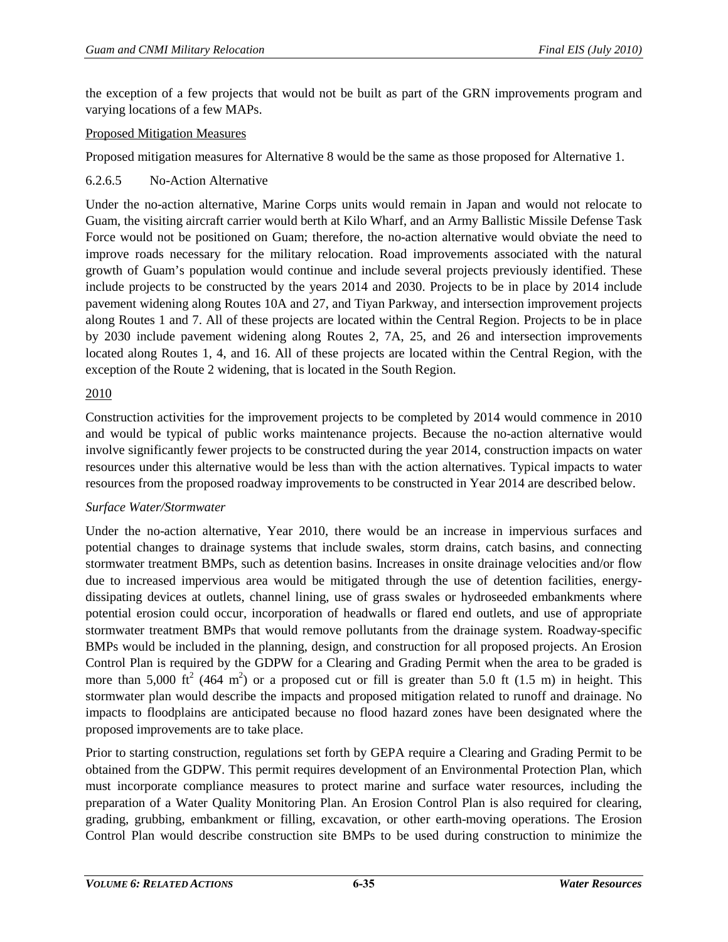the exception of a few projects that would not be built as part of the GRN improvements program and varying locations of a few MAPs.

## Proposed Mitigation Measures

Proposed mitigation measures for Alternative 8 would be the same as those proposed for Alternative 1.

# 6.2.6.5 No-Action Alternative

Under the no-action alternative, Marine Corps units would remain in Japan and would not relocate to Guam, the visiting aircraft carrier would berth at Kilo Wharf, and an Army Ballistic Missile Defense Task Force would not be positioned on Guam; therefore, the no-action alternative would obviate the need to improve roads necessary for the military relocation. Road improvements associated with the natural growth of Guam's population would continue and include several projects previously identified. These include projects to be constructed by the years 2014 and 2030. Projects to be in place by 2014 include pavement widening along Routes 10A and 27, and Tiyan Parkway, and intersection improvement projects along Routes 1 and 7. All of these projects are located within the Central Region. Projects to be in place by 2030 include pavement widening along Routes 2, 7A, 25, and 26 and intersection improvements located along Routes 1, 4, and 16. All of these projects are located within the Central Region, with the exception of the Route 2 widening, that is located in the South Region.

# 2010

Construction activities for the improvement projects to be completed by 2014 would commence in 2010 and would be typical of public works maintenance projects. Because the no-action alternative would involve significantly fewer projects to be constructed during the year 2014, construction impacts on water resources under this alternative would be less than with the action alternatives. Typical impacts to water resources from the proposed roadway improvements to be constructed in Year 2014 are described below.

## *Surface Water/Stormwater*

Under the no-action alternative, Year 2010, there would be an increase in impervious surfaces and potential changes to drainage systems that include swales, storm drains, catch basins, and connecting stormwater treatment BMPs, such as detention basins. Increases in onsite drainage velocities and/or flow due to increased impervious area would be mitigated through the use of detention facilities, energydissipating devices at outlets, channel lining, use of grass swales or hydroseeded embankments where potential erosion could occur, incorporation of headwalls or flared end outlets, and use of appropriate stormwater treatment BMPs that would remove pollutants from the drainage system. Roadway-specific BMPs would be included in the planning, design, and construction for all proposed projects. An Erosion Control Plan is required by the GDPW for a Clearing and Grading Permit when the area to be graded is more than 5,000 ft<sup>2</sup> (464 m<sup>2</sup>) or a proposed cut or fill is greater than 5.0 ft (1.5 m) in height. This stormwater plan would describe the impacts and proposed mitigation related to runoff and drainage. No impacts to floodplains are anticipated because no flood hazard zones have been designated where the proposed improvements are to take place.

Prior to starting construction, regulations set forth by GEPA require a Clearing and Grading Permit to be obtained from the GDPW. This permit requires development of an Environmental Protection Plan, which must incorporate compliance measures to protect marine and surface water resources, including the preparation of a Water Quality Monitoring Plan. An Erosion Control Plan is also required for clearing, grading, grubbing, embankment or filling, excavation, or other earth-moving operations. The Erosion Control Plan would describe construction site BMPs to be used during construction to minimize the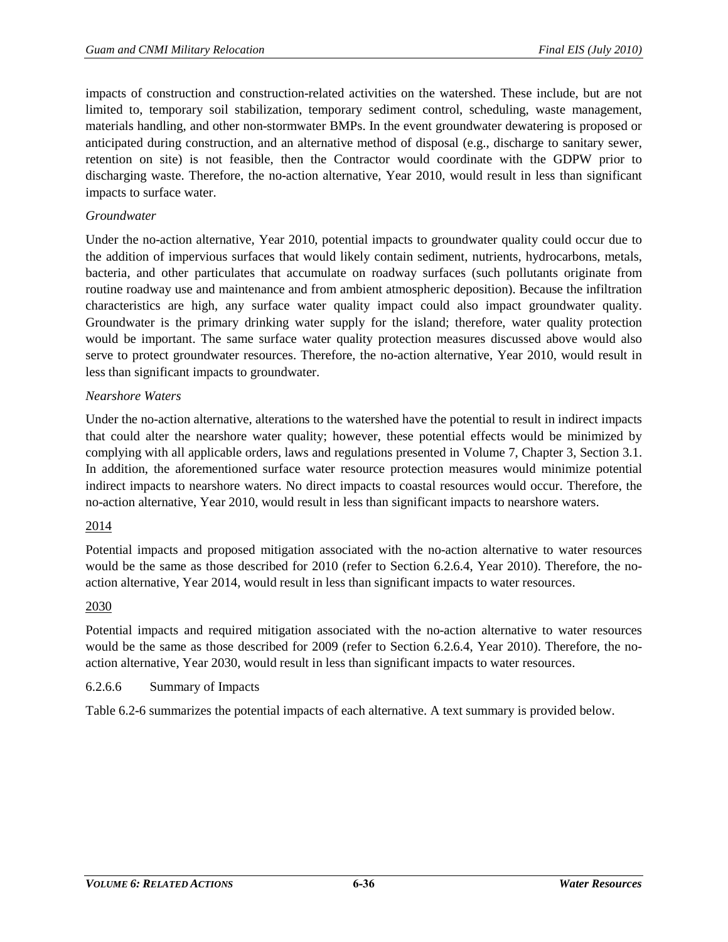impacts of construction and construction-related activities on the watershed. These include, but are not limited to, temporary soil stabilization, temporary sediment control, scheduling, waste management, materials handling, and other non-stormwater BMPs. In the event groundwater dewatering is proposed or anticipated during construction, and an alternative method of disposal (e.g., discharge to sanitary sewer, retention on site) is not feasible, then the Contractor would coordinate with the GDPW prior to discharging waste. Therefore, the no-action alternative, Year 2010, would result in less than significant impacts to surface water.

## *Groundwater*

Under the no-action alternative, Year 2010, potential impacts to groundwater quality could occur due to the addition of impervious surfaces that would likely contain sediment, nutrients, hydrocarbons, metals, bacteria, and other particulates that accumulate on roadway surfaces (such pollutants originate from routine roadway use and maintenance and from ambient atmospheric deposition). Because the infiltration characteristics are high, any surface water quality impact could also impact groundwater quality. Groundwater is the primary drinking water supply for the island; therefore, water quality protection would be important. The same surface water quality protection measures discussed above would also serve to protect groundwater resources. Therefore, the no-action alternative, Year 2010, would result in less than significant impacts to groundwater.

# *Nearshore Waters*

Under the no-action alternative, alterations to the watershed have the potential to result in indirect impacts that could alter the nearshore water quality; however, these potential effects would be minimized by complying with all applicable orders, laws and regulations presented in Volume 7, Chapter 3, Section 3.1. In addition, the aforementioned surface water resource protection measures would minimize potential indirect impacts to nearshore waters. No direct impacts to coastal resources would occur. Therefore, the no-action alternative, Year 2010, would result in less than significant impacts to nearshore waters.

## 2014

Potential impacts and proposed mitigation associated with the no-action alternative to water resources would be the same as those described for 2010 (refer to Section [6.2.6.4,](#page-33-0) Year 2010). Therefore, the noaction alternative, Year 2014, would result in less than significant impacts to water resources.

## 2030

Potential impacts and required mitigation associated with the no-action alternative to water resources would be the same as those described for 2009 (refer to Section [6.2.6.4,](#page-33-0) Year 2010). Therefore, the noaction alternative, Year 2030, would result in less than significant impacts to water resources.

## 6.2.6.6 Summary of Impacts

[Table 6.2-6](#page-36-0) summarizes the potential impacts of each alternative. A text summary is provided below.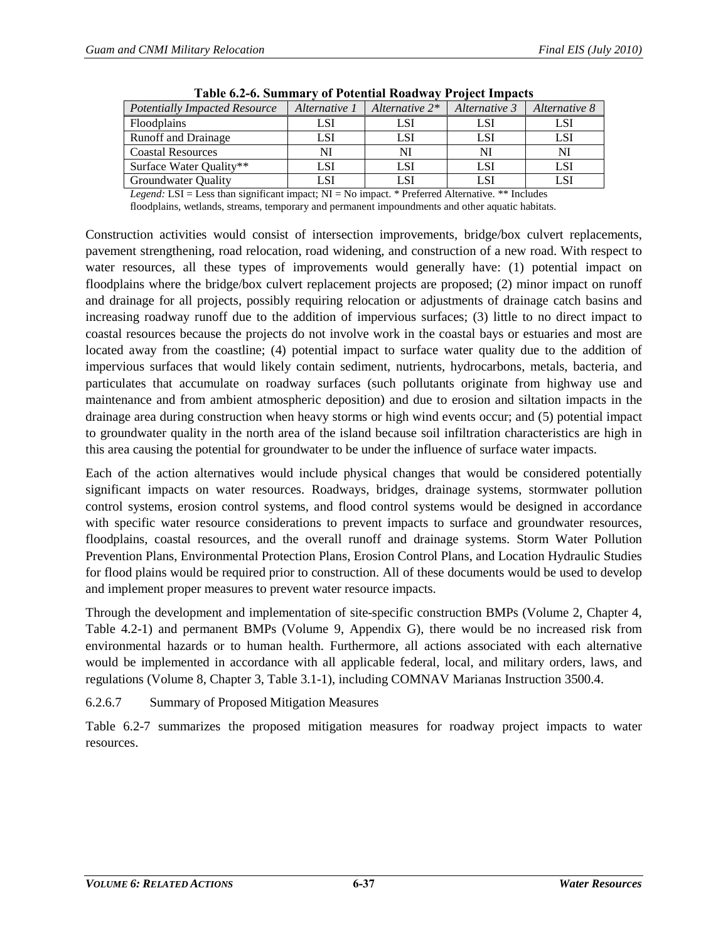<span id="page-36-0"></span>

| <b>Potentially Impacted Resource</b> | Alternative 1 | Alternative $2^*$ | Alternative 3 | Alternative 8 |
|--------------------------------------|---------------|-------------------|---------------|---------------|
| <b>Floodplains</b>                   | LSI           | LSI               | LSI           |               |
| <b>Runoff and Drainage</b>           | LSI           | LSI               | LSI           |               |
| <b>Coastal Resources</b>             |               | NI                | Nl            |               |
| Surface Water Quality**              | LSI           | LSI               | LSI           | LSI           |
| <b>Groundwater Quality</b>           | LSI           | LSI               | LSI           |               |

**Table 6.2-6. Summary of Potential Roadway Project Impacts** 

*Legend:* LSI = Less than significant impact; NI = No impact. \* Preferred Alternative. \*\* Includes

floodplains, wetlands, streams, temporary and permanent impoundments and other aquatic habitats.

Construction activities would consist of intersection improvements, bridge/box culvert replacements, pavement strengthening, road relocation, road widening, and construction of a new road. With respect to water resources, all these types of improvements would generally have: (1) potential impact on floodplains where the bridge/box culvert replacement projects are proposed; (2) minor impact on runoff and drainage for all projects, possibly requiring relocation or adjustments of drainage catch basins and increasing roadway runoff due to the addition of impervious surfaces; (3) little to no direct impact to coastal resources because the projects do not involve work in the coastal bays or estuaries and most are located away from the coastline; (4) potential impact to surface water quality due to the addition of impervious surfaces that would likely contain sediment, nutrients, hydrocarbons, metals, bacteria, and particulates that accumulate on roadway surfaces (such pollutants originate from highway use and maintenance and from ambient atmospheric deposition) and due to erosion and siltation impacts in the drainage area during construction when heavy storms or high wind events occur; and (5) potential impact to groundwater quality in the north area of the island because soil infiltration characteristics are high in this area causing the potential for groundwater to be under the influence of surface water impacts.

Each of the action alternatives would include physical changes that would be considered potentially significant impacts on water resources. Roadways, bridges, drainage systems, stormwater pollution control systems, erosion control systems, and flood control systems would be designed in accordance with specific water resource considerations to prevent impacts to surface and groundwater resources, floodplains, coastal resources, and the overall runoff and drainage systems. Storm Water Pollution Prevention Plans, Environmental Protection Plans, Erosion Control Plans, and Location Hydraulic Studies for flood plains would be required prior to construction. All of these documents would be used to develop and implement proper measures to prevent water resource impacts.

Through the development and implementation of site-specific construction BMPs (Volume 2, Chapter 4, Table 4.2-1) and permanent BMPs (Volume 9, Appendix G), there would be no increased risk from environmental hazards or to human health. Furthermore, all actions associated with each alternative would be implemented in accordance with all applicable federal, local, and military orders, laws, and regulations (Volume 8, Chapter 3, Table 3.1-1), including COMNAV Marianas Instruction 3500.4.

## 6.2.6.7 Summary of Proposed Mitigation Measures

[Table 6.2-7](#page-37-0) summarizes the proposed mitigation measures for roadway project impacts to water resources.